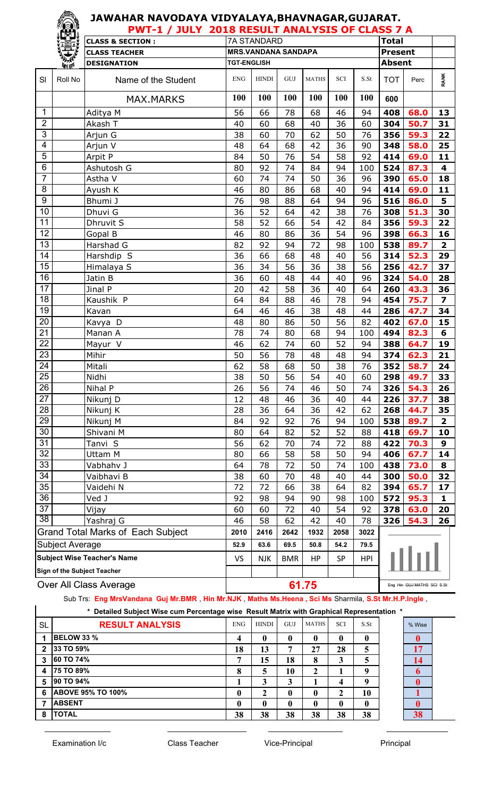|                         |                        | <b>PWT-1 / JULY 2018 RESULT ANALYSIS OF CLASS 7 A</b> |                    |                            |             |              |                             |                            |                   |          |                         |  |
|-------------------------|------------------------|-------------------------------------------------------|--------------------|----------------------------|-------------|--------------|-----------------------------|----------------------------|-------------------|----------|-------------------------|--|
|                         |                        | <b>CLASS &amp; SECTION:</b>                           |                    | <b>7A STANDARD</b>         |             |              |                             |                            | <b>Total</b>      |          |                         |  |
|                         |                        | <b>CLASS TEACHER</b>                                  |                    | <b>MRS.VANDANA SANDAPA</b> |             |              |                             |                            | <b>Present</b>    |          |                         |  |
|                         | 新聞                     | <b>DESIGNATION</b>                                    | <b>TGT-ENGLISH</b> |                            |             |              |                             |                            | <b>Absent</b>     |          |                         |  |
| SI                      | Roll No                | Name of the Student                                   | <b>ENG</b>         | <b>HINDI</b>               | ${\rm GUI}$ | <b>MATHS</b> | $\ensuremath{\mathbf{SCI}}$ | S.St                       | <b>TOT</b>        | Perc     | <b>RANK</b>             |  |
|                         |                        | <b>MAX.MARKS</b>                                      | 100                | 100                        | 100         | 100          | 100                         | 100                        | 600               |          |                         |  |
| 1                       |                        | Aditya M                                              | 56                 | 66                         | 78          | 68           | 46                          | 94                         | 408               | 68.0     | 13                      |  |
| $\overline{2}$          |                        | Akash T                                               | 40                 | 60                         | 68          | 40           | 36                          | 60                         | 304               | 50.7     | 31                      |  |
| $\mathfrak{S}$          |                        | Arjun G                                               | 38                 | 60                         | 70          | 62           | 50                          | 76                         | 356               | 59.3     | 22                      |  |
| $\overline{\mathbf{4}}$ |                        | Arjun V                                               | 48                 | 64                         | 68          | 42           | 36                          | 90                         | 348               | 58.0     | 25                      |  |
| $\overline{5}$          |                        | Arpit P                                               | 84                 | 50                         | 76          | 54           | 58                          | 92                         | 414               | 69.0     | 11                      |  |
| 6                       |                        | Ashutosh G                                            | 80                 | 92                         | 74          | 84           | 94                          | 100                        | 524               | 87.3     | 4                       |  |
| $\overline{7}$          |                        | Astha V                                               | 60                 | 74                         | 74          | 50           | 36                          | 96                         | 390               | 65.0     | 18                      |  |
| 8                       |                        | Ayush K                                               | 46                 | 80                         | 86          | 68           | 40                          | 94                         | 414               | 69.0     | 11                      |  |
| $\boldsymbol{9}$        |                        | Bhumi J                                               | 76                 | 98                         | 88          | 64           | 94                          | 96                         | 516               | 86.0     | 5                       |  |
| 10                      |                        | Dhuvi G                                               | 36                 | 52                         | 64          | 42           | 38                          | 76                         | 308               | 51.3     | 30                      |  |
| 11                      |                        | Dhruvit S                                             | 58                 | 52                         | 66          | 54           | 42                          | 84                         | 356               | 59.3     | 22                      |  |
| 12                      |                        | Gopal B                                               | 46                 | 80                         | 86          | 36           | 54                          | 96                         | 398               | 66.3     | 16                      |  |
| 13                      |                        | Harshad G                                             | 82                 | 92                         | 94          | 72           | 98                          | 100                        | 538               | 89.7     | $\overline{\mathbf{2}}$ |  |
| 14                      |                        | Harshdip S                                            | 36                 | 66                         | 68          | 48           | 40                          | 56                         | 314               | 52.3     | 29                      |  |
| 15                      |                        | Himalaya S                                            | 36                 | 34                         | 56          | 36           | 38                          | 56                         | 256               | 42.7     | 37                      |  |
| 16                      |                        | Jatin B                                               | 36                 | 60                         | 48          | 44           | 40                          | 96                         | 324               | 54.0     | 28                      |  |
| $\overline{17}$         |                        | Jinal P                                               | 20                 | 42                         | 58          | 36           | 40                          | 64                         | 260               | 43.3     | 36                      |  |
| 18                      |                        | Kaushik <sup>P</sup>                                  | 64                 | 84                         | 88          | 46           | 78                          | 94                         | 454               | 75.7     | $\overline{\mathbf{z}}$ |  |
| 19                      |                        | Kavan                                                 | 64                 | 46                         | 46          | 38           | 48                          | 44                         | 286               | 47.7     | 34                      |  |
| 20                      |                        | Kavya D                                               | 48                 | 80                         | 86          | 50           | 56                          | 82                         | 402               | 67.0     | 15                      |  |
| $\overline{21}$         |                        | Manan A                                               | 78                 | 74                         | 80          | 68           | 94                          | 100                        | 494               | 82.3     | 6                       |  |
| 22                      |                        | Mayur V                                               | 46                 | 62                         | 74          | 60           | 52                          | 94                         | 388               | 64.7     | 19                      |  |
| 23                      |                        | Mihir                                                 | 50                 | 56                         | 78          | 48           | 48                          | 94                         | 374               | 62.3     | 21                      |  |
| 24                      |                        | Mitali                                                | 62                 | 58                         | 68          | 50           | 38                          | 76                         | 352               | 58.7     | 24                      |  |
| $\overline{25}$         |                        | Nidhi                                                 | 38                 | 50                         | 56          | 54           | 40                          | 60                         |                   | 298 49.7 | 33                      |  |
| 26                      |                        | Nihal P                                               | 26                 | 56                         | 74          | 46           | 50                          | 74                         | 326               | 54.3     | 26                      |  |
| 27                      |                        | Nikunj D                                              | 12                 | 48                         | 46          | 36           | 40                          | 44                         | 226               | 37.7     | 38                      |  |
| 28                      |                        | Nikunj K                                              | 28                 | 36                         | 64          | 36           | 42                          | 62                         | 268               | 44.7     | 35                      |  |
| 29                      |                        | Nikunj M                                              | 84                 | 92                         | 92          | 76           | 94                          | 100                        | 538               | 89.7     | $\overline{\mathbf{2}}$ |  |
| 30                      |                        | Shivani M                                             | 80                 | 64                         | 82          | 52           | 52                          | 88                         | 418               | 69.7     | 10                      |  |
| 31                      |                        | Tanvi S                                               | 56                 | 62                         | 70          | 74           | 72                          | 88                         | 422               | 70.3     | 9                       |  |
| 32                      |                        | Uttam M                                               | 80                 | 66                         | 58          | 58           | 50                          | 94                         | 406               | 67.7     | 14                      |  |
| 33                      |                        | Vabhahv J                                             | 64                 | 78                         | 72          | 50           | 74                          | 100                        | 438               | 73.0     | 8                       |  |
| 34                      |                        | Vaibhavi B                                            | 38                 | 60                         | 70          | 48           | 40                          | 44                         | 300               | 50.0     | 32                      |  |
| 35                      |                        | Vaidehi N                                             | 72                 | 72                         | 66          | 38           | 64                          | 82                         | 394               | 65.7     | 17                      |  |
| 36                      |                        | Ved J                                                 | 92                 | 98                         | 94          | 90           | 98                          | 100                        | 572               | 95.3     | $\mathbf{1}$            |  |
| 37                      |                        | Vijay                                                 | 60                 | 60                         | 72          | 40           | 54                          | 92                         | 378               | 63.0     | 20<br>26                |  |
| $\overline{38}$         |                        | Yashraj G                                             | 46                 | 58                         | 62          | 42           | 40                          |                            | 78<br>326<br>54.3 |          |                         |  |
|                         |                        | <b>Grand Total Marks of Each Subject</b>              | 2010               | 2416                       | 2642        | 1932         | 2058                        | 3022                       |                   |          |                         |  |
|                         | Subject Average        |                                                       | 52.9               | 63.6                       | 69.5        | 50.8         | 54.2                        | 79.5                       |                   |          |                         |  |
|                         |                        | <b>Subject Wise Teacher's Name</b>                    | VS                 | <b>NJK</b>                 | <b>BMR</b>  | HP           | SP                          | <b>HPI</b>                 |                   |          |                         |  |
|                         |                        | <b>Sign of the Subject Teacher</b>                    |                    |                            |             |              |                             |                            |                   |          |                         |  |
|                         | Over All Class Average | 61.75                                                 |                    |                            |             |              |                             | Eng Hin GUJ MATHS SCI S.St |                   |          |                         |  |

All Class Average  $\mathbf{L}$ 

Sub Trs: **Eng MrsVandana Guj Mr.BMR** , **Hin Mr.NJK** , **Maths Ms.Heena , Sci Ms** Sharmila, **S.St Mr.H.P.Ingle** ,

\_\_\_\_\_\_\_\_\_\_\_\_\_\_\_ \_\_\_\_\_\_\_\_\_\_\_\_\_\_\_\_\_\_ \_\_\_\_\_\_\_\_\_\_\_\_\_\_\_\_\_ \_\_\_\_\_\_\_\_\_\_\_\_\_\_

|              | * Detailed Subject Wise cum Percentage wise Result Matrix with Graphical Representation * |            |              |     |              |            |      |        |
|--------------|-------------------------------------------------------------------------------------------|------------|--------------|-----|--------------|------------|------|--------|
| <b>SL</b>    | <b>RESULT ANALYSIS</b>                                                                    | <b>ENG</b> | <b>HINDI</b> | GUJ | MATHS        | <b>SCI</b> | S.St | % Wise |
|              | <b>BELOW 33 %</b>                                                                         |            |              | 0   |              | 0          | 0    |        |
| $\mathbf{c}$ | 33 TO 59%                                                                                 | 18         | 13           | ⇁   | 27           | 28         | 5    |        |
| 3            | <b>60 TO 74%</b>                                                                          |            | 15           | 18  | 8            | 3          | 5    |        |
| 4            | <b>75 TO 89%</b>                                                                          | 8          | 5            | 10  | 2            |            | Q    |        |
| 5            | 90 TO 94%                                                                                 |            | 3            | 3   |              | 4          | Q    |        |
| 6            | <b>ABOVE 95% TO 100%</b>                                                                  | 0          | 2            | 0   | $\mathbf{0}$ |            | 10   |        |
|              | <b>ABSENT</b>                                                                             | 0          | 0            | 0   | 0            | 0          | 0    |        |
| 8            | <b>TOTAL</b>                                                                              | 38         | 38           | 38  | 38           | 38         | 38   |        |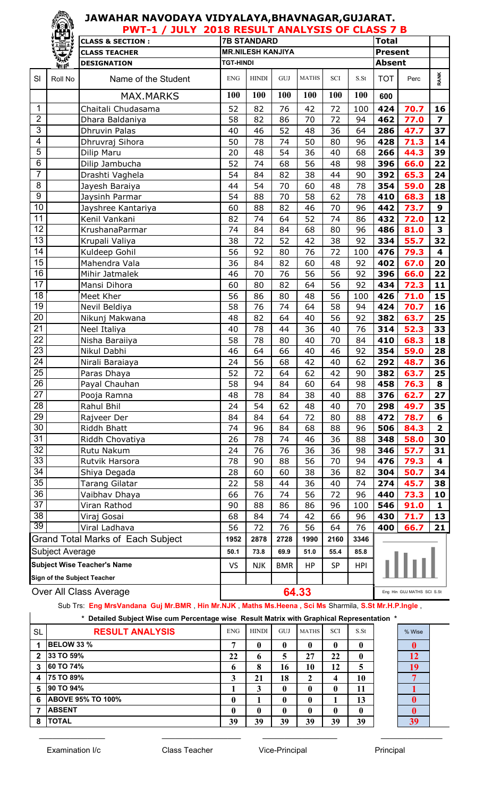|                                    |                                | <b>PWT-1 / JULY 2018 RESULT ANALYSIS OF CLASS 7 B</b> |                    |                          |            |              |            |            | <b>Total</b>   |                            |                         |
|------------------------------------|--------------------------------|-------------------------------------------------------|--------------------|--------------------------|------------|--------------|------------|------------|----------------|----------------------------|-------------------------|
|                                    |                                | <b>CLASS &amp; SECTION:</b>                           | <b>7B STANDARD</b> |                          |            |              |            |            |                |                            |                         |
|                                    |                                | <b>CLASS TEACHER</b>                                  |                    | <b>MR.NILESH KANJIYA</b> |            |              |            |            | <b>Present</b> |                            |                         |
|                                    | 美好                             | <b>DESIGNATION</b>                                    | <b>TGT-HINDI</b>   |                          |            |              |            |            | <b>Absent</b>  |                            |                         |
| SI                                 | Roll No                        | Name of the Student                                   | <b>ENG</b>         | <b>HINDI</b>             | GUJ        | <b>MATHS</b> | <b>SCI</b> | S.St       | <b>TOT</b>     | Perc                       | <b>RANK</b>             |
|                                    |                                | <b>MAX.MARKS</b>                                      | 100                | 100                      | 100        | 100          | 100        | 100        | 600            |                            |                         |
| 1                                  |                                | Chaitali Chudasama                                    | 52                 | 82                       | 76         | 42           | 72         | 100        | 424            | 70.7                       | 16                      |
| $\overline{2}$                     |                                | Dhara Baldaniya                                       | 58                 | 82                       | 86         | 70           | 72         | 94         | 462            | 77.0                       | $\overline{\mathbf{z}}$ |
| 3                                  |                                | <b>Dhruvin Palas</b>                                  | 40                 | 46                       | 52         | 48           | 36         | 64         | 286            | 47.7                       | 37                      |
| $\overline{\mathbf{4}}$            |                                | Dhruvraj Sihora                                       | 50                 | 78                       | 74         | 50           | 80         | 96         | 428            | 71.3                       | 14                      |
| $\overline{5}$                     |                                | Dilip Maru                                            | 20                 | 48                       | 54         | 36           | 40         | 68         | 266            | 44.3                       | 39                      |
| $\,6$                              |                                | Dilip Jambucha                                        | 52                 | 74                       | 68         | 56           | 48         | 98         | 396            | 66.0                       | 22                      |
| $\overline{7}$                     |                                | Drashti Vaghela                                       | 54                 | 84                       | 82         | 38           | 44         | 90         | 392            | 65.3                       | 24                      |
| $\bf 8$                            |                                | Jayesh Baraiya                                        | 44                 | 54                       | 70         | 60           | 48         | 78         | 354            | 59.0                       | 28                      |
| $\boldsymbol{9}$                   |                                | Jaysinh Parmar                                        | 54                 | 88                       | 70         | 58           | 62         | 78         | 410            | 68.3                       | 18                      |
| 10                                 |                                | Jayshree Kantariya                                    | 60                 | 88                       | 82         | 46           | 70         | 96         | 442            | 73.7                       | 9                       |
| 11                                 |                                | Kenil Vankani                                         | 82                 | 74                       | 64         | 52           | 74         | 86         | 432            | 72.0                       | 12                      |
| 12                                 |                                | KrushanaParmar                                        | 74                 | 84                       | 84         | 68           | 80         | 96         | 486            | 81.0                       | $\overline{\mathbf{3}}$ |
| $\overline{13}$                    |                                | Krupali Valiya                                        | 38                 | 72                       | 52         | 42           | 38         | 92         | 334            | 55.7                       | 32                      |
| 14                                 |                                | Kuldeep Gohil                                         | 56                 | 92                       | 80         | 76           | 72         | 100        | 476            | 79.3                       | 4                       |
| $\overline{15}$                    |                                | Mahendra Vala                                         | 36                 | 84                       | 82         | 60           | 48         | 92         | 402            | 67.0                       | 20                      |
| 16                                 |                                | Mihir Jatmalek                                        | 46                 | 70                       | 76         | 56           | 56         | 92         | 396            | 66.0                       | 22                      |
| $\overline{17}$                    |                                | Mansi Dihora                                          | 60                 | 80                       | 82         | 64           | 56         | 92         | 434            | 72.3                       | 11                      |
| 18                                 |                                | Meet Kher                                             | 56                 | 86                       | 80         | 48           | 56         | 100        | 426            | 71.0                       | 15                      |
| 19                                 |                                | Nevil Beldiya                                         | 58                 | 76                       | 74         | 64           | 58         | 94         | 424            | 70.7                       | 16                      |
| 20                                 |                                | Nikunj Makwana                                        | 48                 | 82                       | 64         | 40           | 56         | 92         | 382            | 63.7                       | 25                      |
| $\overline{21}$                    |                                | Neel Italiya                                          | 40                 | 78                       | 44         | 36           | 40         | 76         | 314            | 52.3                       | 33                      |
| 22                                 |                                | Nisha Baraiiya                                        | 58                 | 78                       | 80         | 40           | 70         | 84         | 410            | 68.3                       | 18                      |
| $\overline{23}$                    |                                | Nikul Dabhi                                           | 46                 | 64                       | 66         | 40           | 46         | 92         | 354            | 59.0                       | 28                      |
| $\overline{24}$                    |                                | Nirali Baraiaya                                       | 24                 | 56                       | 68         | 42           | 40         | 62         | 292            | 48.7                       | 36                      |
| $\overline{25}$                    |                                | Paras Dhaya                                           | 52                 | 72                       | 64         | 62           | 42         | 90         | 382            | 63.7                       | 25                      |
| $\overline{26}$                    |                                | Payal Chauhan                                         | 58                 | 94                       | 84         | 60           | 64         | 98         | 458            | 76.3                       | 8                       |
| 27                                 |                                | Pooja Ramna                                           | 48                 | 78                       | 84         | 38           | 40         | 88         | 376            | 62.7                       | 27                      |
| 28                                 |                                | Rahul Bhil                                            | 24                 | 54                       | 62         | 48           | 40         | 70         | 298            | 49.7                       | 35                      |
| 29                                 |                                | Rajveer Der                                           | 84                 | 84                       | 64         | 72           | 80         | 88         | 472            | 78.7                       | 6                       |
| 30                                 |                                | Riddh Bhatt                                           | 74                 | 96                       | 84         | 68           | 88         | 96         | 506            | 84.3                       | $\overline{2}$          |
| 31                                 |                                | Riddh Chovatiya                                       | 26                 | 78                       | 74         | 46           | 36         | 88         | 348            | 58.0                       | 30                      |
| 32                                 |                                | Rutu Nakum                                            | 24                 | 76                       | 76         | 36           | 36         | 98         | 346            | 57.7                       | 31                      |
| 33                                 |                                | Rutvik Harsora                                        | 78                 | 90                       | 88         | 56           | 70         | 94         | 476            | 79.3                       | 4                       |
| 34                                 |                                | Shiya Degada                                          | 28                 | 60                       | 60         | 38           | 36         | 82         | 304            | 50.7                       | 34                      |
| 35                                 |                                | <b>Tarang Gilatar</b>                                 | 22                 | 58                       | 44         | 36           | 40         | 74         | 274            | 45.7                       | 38                      |
| 36                                 |                                | Vaibhav Dhaya                                         | 66                 | 76                       | 74         | 56           | 72         | 96         | 440            | 73.3                       | 10                      |
| $\overline{37}$                    |                                | Viran Rathod                                          | 90                 | 88                       | 86         | 86           | 96         | 100        | 546            | 91.0                       | 1                       |
| 38                                 |                                | Viraj Gosai                                           | 68                 | 84                       | 74         | 42           | 66         | 96         | 430<br>71.7    |                            | 13                      |
| 39                                 |                                | Viral Ladhava                                         | 56                 | 72                       | 76         | 56           | 64         | 76         | 400<br>66.7    |                            |                         |
|                                    |                                | <b>Grand Total Marks of Each Subject</b>              | 1952               | 2878                     | 2728       | 1990         | 2160       | 3346       |                |                            |                         |
|                                    | <b>Subject Average</b><br>50.1 |                                                       |                    | 73.8                     | 69.9       | 51.0         | 55.4       | 85.8       |                |                            |                         |
| <b>Subject Wise Teacher's Name</b> |                                |                                                       | <b>VS</b>          | <b>NJK</b>               | <b>BMR</b> | HP           | SP         | <b>HPI</b> |                |                            |                         |
|                                    | Sign of the Subject Teacher    |                                                       |                    |                          |            |              |            |            |                |                            |                         |
|                                    |                                |                                                       |                    |                          |            | 64.33        |            |            |                | Eng Hin GUJ MATHS SCI S.St |                         |
| Over All Class Average             |                                |                                                       |                    |                          |            |              |            |            |                |                            |                         |

### Sub Trs: **Eng MrsVandana Guj Mr.BMR** , **Hin Mr.NJK** , **Maths Ms.Heena , Sci Ms** Sharmila, **S.St Mr.H.P.Ingle** ,

\_\_\_\_\_\_\_\_\_\_\_\_\_\_\_ \_\_\_\_\_\_\_\_\_\_\_\_\_\_\_\_\_\_ \_\_\_\_\_\_\_\_\_\_\_\_\_\_\_\_\_ \_\_\_\_\_\_\_\_\_\_\_\_\_\_

### **\* Detailed Subject Wise cum Percentage wise Result Matrix with Graphical Representation \***

| * Detailed Subject Wise cum Percentage wise Result Matrix with Graphical Representation * |                          |              |              |              |              |            |               |  |        |  |  |
|-------------------------------------------------------------------------------------------|--------------------------|--------------|--------------|--------------|--------------|------------|---------------|--|--------|--|--|
| <b>SL</b>                                                                                 | <b>RESULT ANALYSIS</b>   | <b>ENG</b>   | <b>HINDI</b> | <b>GUJ</b>   | <b>MATHS</b> | <b>SCI</b> | $S_{\cdot}St$ |  | % Wise |  |  |
|                                                                                           | <b>BELOW 33 %</b>        | ៗ            | 0            | 0            |              | 0          |               |  |        |  |  |
| $\overline{2}$                                                                            | 33 TO 59%                | 22           | 6            | 5            | 27           | 22         | 0             |  | 12     |  |  |
| $\mathbf{3}$                                                                              | 60 TO 74%                | o            | 8            | 16           | 10           | 12         | 5             |  | 19     |  |  |
| $\overline{\mathbf{4}}$                                                                   | <b>75 TO 89%</b>         |              | 21           | 18           | 2            | 4          | 10            |  |        |  |  |
| 5                                                                                         | 90 TO 94%                |              | 3            | $\mathbf 0$  | 0            | 0          | 11            |  |        |  |  |
| -6                                                                                        | <b>ABOVE 95% TO 100%</b> | 0            |              | $\mathbf 0$  |              |            | 13            |  |        |  |  |
|                                                                                           | <b>ABSENT</b>            | $\mathbf{0}$ | 0            | $\mathbf{0}$ | 0            | 0          | 0             |  |        |  |  |
| 8                                                                                         | <b>TOTAL</b>             | 39           | 39           | 39           | 39           | 39         | 39            |  | 39     |  |  |

| % Wise |  |
|--------|--|
|        |  |
| 2      |  |
| 9      |  |
|        |  |
|        |  |
|        |  |
|        |  |
| ว      |  |
|        |  |

18)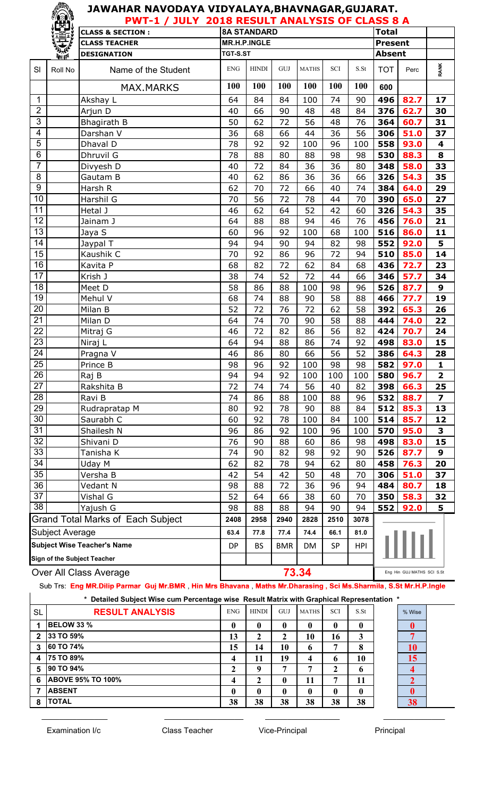#### **JAWAHAR NAVODAYA VIDYALAYA,BHAVNAGAR,GUJARAT. PWT-1 / JULY 2018 RESULT ANALYSIS OF CLASS 8 A**

|                                                       | <b>PELI</b> | F VV 1 - 4 /<br>JVLI<br><b>CLASS &amp; SECTION:</b> | ZUIU KLJULI ANALIJIJ UI CLAJJ U A<br>Total<br><b>8A STANDARD</b>                             |              |                |              |            |                                      |                            |              |                |  |
|-------------------------------------------------------|-------------|-----------------------------------------------------|----------------------------------------------------------------------------------------------|--------------|----------------|--------------|------------|--------------------------------------|----------------------------|--------------|----------------|--|
|                                                       |             | <b>CLASS TEACHER</b>                                |                                                                                              | MR.H.P.INGLE | <b>Present</b> |              |            |                                      |                            |              |                |  |
|                                                       | 美好          | <b>DESIGNATION</b>                                  | TGT-S.ST                                                                                     |              |                |              |            |                                      | <b>Absent</b>              |              |                |  |
|                                                       |             |                                                     |                                                                                              |              |                |              |            |                                      |                            |              |                |  |
| SI                                                    | Roll No     | Name of the Student                                 | <b>ENG</b>                                                                                   | <b>HINDI</b> | GUJ            | <b>MATHS</b> | SCI        | $\operatorname{S}.\operatorname{St}$ | <b>TOT</b>                 | Perc         | <b>RANK</b>    |  |
|                                                       |             | <b>MAX.MARKS</b>                                    | 100                                                                                          | 100          | 100            | <b>100</b>   | 100        | <b>100</b>                           | 600                        |              |                |  |
| 1                                                     |             | Akshay L                                            | 64                                                                                           | 84           | 84             | 100          | 74         | 90                                   | 496                        | 82.7         | 17             |  |
| $\overline{2}$                                        |             | Arjun D                                             | 40                                                                                           | 66           | 90             | 48           | 48         | 84                                   | 376                        | 62.7         | 30             |  |
| 3                                                     |             | Bhagirath B                                         | 50                                                                                           | 62           | 72             | 56           | 48         | 76                                   | 364                        | 60.7         | 31             |  |
| 4                                                     |             | Darshan V                                           | 36                                                                                           | 68           | 66             | 44           | 36         | 56                                   | 306                        | 51.0         | 37             |  |
| $\overline{5}$                                        |             | Dhaval D                                            | 78                                                                                           | 92           | 92             | 100          | 96         | 100                                  | 558                        | 93.0         | 4              |  |
| 6                                                     |             | Dhruvil G                                           | 78                                                                                           | 88           | 80             | 88           | 98         | 98                                   | 530                        | 88.3         | 8              |  |
| $\overline{7}$                                        |             | Divyesh D                                           | 40                                                                                           | 72           | 84             | 36           | 36         | 80                                   | 348                        | 58.0         | 33             |  |
| $\overline{8}$                                        |             | Gautam B                                            | 40                                                                                           | 62           | 86             | 36           | 36         | 66                                   | 326                        | 54.3         | 35             |  |
| 9                                                     |             | Harsh R                                             | 62                                                                                           | 70           | 72             | 66           | 40         | 74                                   | 384                        | 64.0         | 29             |  |
| 10                                                    |             | Harshil G                                           | 70                                                                                           | 56           | 72             | 78           | 44         | 70                                   | 390                        | 65.0         | 27             |  |
| 11                                                    |             | Hetal J                                             | 46                                                                                           | 62           | 64             | 52           | 42         | 60                                   | 326                        | 54.3         | 35             |  |
| $\overline{12}$                                       |             | Jainam J                                            | 64                                                                                           | 88           | 88             | 94           | 46         | 76                                   | 456                        | 76.0         | 21             |  |
| $\overline{13}$                                       |             | Jaya S                                              | 60                                                                                           | 96           | 92             | 100          | 68         | 100                                  | 516                        | 86.0         | $11$           |  |
| $\overline{14}$                                       |             | Jaypal T                                            | 94                                                                                           | 94           | 90             | 94           | 82         | 98                                   | 552                        | 92.0         | 5              |  |
| $\overline{15}$                                       |             | Kaushik C                                           | 70                                                                                           | 92           | 86             | 96           | 72         | 94                                   | 510                        | 85.0         | 14             |  |
| $\overline{16}$                                       |             | Kavita P                                            | 68                                                                                           | 82           | 72             | 62           | 84         | 68                                   | 436                        | 72.7         | 23             |  |
| 17                                                    |             | Krish J                                             | 38                                                                                           | 74           | 52             | 72           | 44         | 66                                   | 346                        | 57.7         | 34             |  |
| 18                                                    |             | Meet D                                              | 58                                                                                           | 86           | 88             | 100          | 98         | 96                                   | 526                        | 87.7         | 9              |  |
| $\overline{19}$                                       |             | Mehul V                                             | 68                                                                                           | 74           | 88             | 90           | 58         | 88                                   | 466                        | 77.7         | 19             |  |
| $\overline{20}$                                       |             | Milan B                                             | 52                                                                                           | 72           | 76             | 72           | 62         | 58                                   | 392                        | 65.3         | 26             |  |
| $\overline{21}$                                       |             | Milan D                                             | 64                                                                                           | 74           | 70             | 90           | 58         | 88                                   | 444                        | 74.0         | 22             |  |
| $\overline{22}$                                       |             | Mitraj G                                            | 46                                                                                           | 72           | 82             | 86           | 56         | 82                                   | 424                        | 70.7         | 24             |  |
| $\overline{23}$                                       |             | Niraj L                                             | 64                                                                                           | 94           | 88             | 86           | 74         | 92                                   | 498                        | 83.0         | 15             |  |
| $\overline{24}$                                       |             | Pragna V                                            | 46                                                                                           | 86           | 80             | 66           | 56         | 52                                   | 386                        | 64.3         | 28             |  |
| $\overline{25}$                                       |             | Prince B                                            | 98                                                                                           | 96           | 92             | 100          | 98         | 98                                   | 582                        | 97.0         | 1              |  |
| $\overline{26}$                                       |             | Raj B                                               | 94                                                                                           | 94           | 92             | 100          | 100        | 100                                  | 580                        | 96.7         | $\overline{2}$ |  |
| 27                                                    |             | Rakshita B                                          | 72                                                                                           | 74           | 74             | 56           | 40         | 82                                   | 398                        | 66.3         | 25             |  |
| 28                                                    |             | Ravi B                                              | 74                                                                                           | 86           | 88             | 100          | 88         | 96                                   | 532                        | 88.7         | 7              |  |
| 29                                                    |             | Rudrapratap M                                       | 80                                                                                           | 92           | 78             | 90           | 88         | 84                                   | 512                        | 85.3         | 13             |  |
| 30                                                    |             | Saurabh C                                           | 60                                                                                           | 92           | 78             | 100          | 84         | 100                                  | 514                        | 85.7         | 12             |  |
| 31                                                    |             | Shailesh N                                          | 96                                                                                           | 86           | 92             | 100          | 96         | 100                                  | 570                        | 95.0         | 3              |  |
| 32                                                    |             | Shivani D                                           | 76                                                                                           | 90           | 88             | 60           | 86         | 98                                   | 498                        | 83.0         | 15             |  |
| 33<br>34                                              |             | Tanisha K                                           | 74                                                                                           | 90           | 82             | 98           | 92         | 90                                   | 526                        | 87.7         | 9              |  |
| $\overline{35}$                                       |             | Uday M                                              | 62                                                                                           | 82           | 78             | 94           | 62         | 80                                   | 458                        | 76.3         | 20             |  |
| 36                                                    |             | Versha B                                            | 42                                                                                           | 54           | 42             | 50           | 48         | 70                                   | 306                        | 51.0         | 37             |  |
| 37                                                    |             | Vedant N                                            | 98                                                                                           | 88           | 72             | 36           | 96         | 94                                   | 484                        | 80.7<br>58.3 | 18             |  |
| $\overline{38}$                                       |             | Vishal G                                            | 52<br>98                                                                                     | 64           | 66             | 38           | 60         | 70                                   | 350                        | 32<br>5      |                |  |
|                                                       |             | Yajush G                                            |                                                                                              | 88           | 88             | 94           | 90         | 94<br>552<br>92.0                    |                            |              |                |  |
|                                                       |             | <b>Grand Total Marks of Each Subject</b>            | 2828<br>2408<br>2958<br>2940<br>2510<br>3078<br>63.4<br>77.8<br>77.4<br>74.4<br>66.1<br>81.0 |              |                |              |            |                                      |                            |              |                |  |
| Subject Average<br><b>Subject Wise Teacher's Name</b> |             |                                                     |                                                                                              |              |                |              |            |                                      |                            |              |                |  |
| Sign of the Subject Teacher                           |             | <b>DP</b>                                           | <b>BS</b>                                                                                    | <b>BMR</b>   | DM             | SP           | <b>HPI</b> |                                      |                            |              |                |  |
|                                                       |             |                                                     | 73.34                                                                                        |              |                |              |            |                                      | Eng Hin GUJ MATHS SCI S.St |              |                |  |
| Over All Class Average                                |             |                                                     |                                                                                              |              |                |              |            |                                      |                            |              |                |  |

Sub Trs: **Eng MR.Dilip Parmar Guj Mr.BMR** , **Hin Mrs Bhavana** , **Maths Mr.Dharasing , Sci Ms.Sharmila**, **S.St Mr.H.P.Ingle**

\_\_\_\_\_\_\_\_\_\_\_\_\_\_\_ \_\_\_\_\_\_\_\_\_\_\_\_\_\_\_\_\_\_ \_\_\_\_\_\_\_\_\_\_\_\_\_\_\_\_\_ \_\_\_\_\_\_\_\_\_\_\_\_\_\_

#### **\* Detailed Subject Wise cum Percentage wise Result Matrix with Graphical Representation \***

| * Detailed Subject Wise cum Percentage wise Result Matrix with Graphical Representation * |                          |            |              |     |              |            |                  |  |  |  |  |
|-------------------------------------------------------------------------------------------|--------------------------|------------|--------------|-----|--------------|------------|------------------|--|--|--|--|
| SL                                                                                        | <b>RESULT ANALYSIS</b>   | <b>ENG</b> | <b>HINDI</b> | GUJ | <b>MATHS</b> | <b>SCI</b> | S.S <sub>t</sub> |  |  |  |  |
|                                                                                           | <b>BELOW 33 %</b>        |            |              | 0   | 0            | 0          | 0                |  |  |  |  |
| $\mathbf{2}$                                                                              | 33 TO 59%                | 13         | 2            |     | 10           | 16         | 3                |  |  |  |  |
| $\mathbf{3}$                                                                              | <b>60 TO 74%</b>         | 15         | 14           | 10  | 6            | ៗ          | 8                |  |  |  |  |
| 4                                                                                         | <b>75 TO 89%</b>         | 4          | 11           | 19  | 4            | 6          | 10               |  |  |  |  |
| 5                                                                                         | 90 TO 94%                | າ          | q            | −   | ៗ            | 2          | 6                |  |  |  |  |
| 6                                                                                         | <b>ABOVE 95% TO 100%</b> | 4          | 2            | 0   | 11           | 7          | 11               |  |  |  |  |
|                                                                                           | <b>ABSENT</b>            | 0          | 0            | 0   | 0            | 0          | 0                |  |  |  |  |
| 8                                                                                         | <b>TOTAL</b>             | 38         | 38           | 38  | 38           | 38         | 38               |  |  |  |  |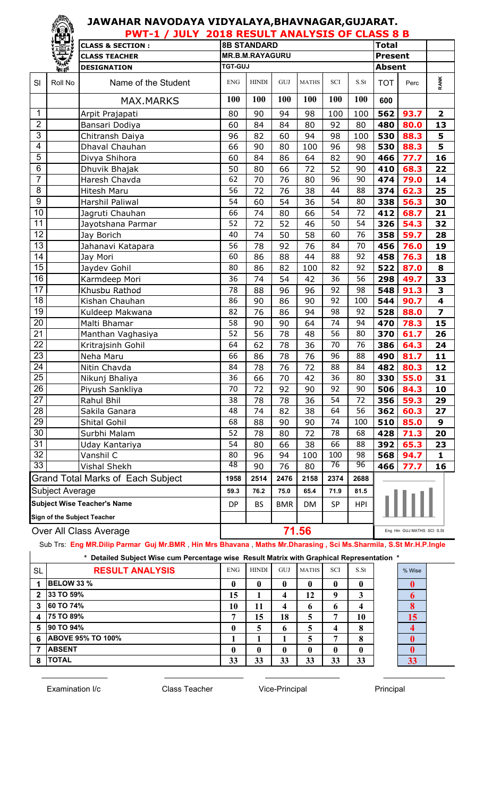#### **JAWAHAR NAVODAYA VIDYALAYA,BHAVNAGAR,GUJARAT. PWT-1 / JULY 2018 RESULT ANALYSIS OF CLASS 8 B**

|                                    |                        | FWI-1 / JULI                      |                                              |                        |       | <b>ZUID RESULT ANALISIS OF CLASS 6 B</b> |                            |      |                |      |                         |
|------------------------------------|------------------------|-----------------------------------|----------------------------------------------|------------------------|-------|------------------------------------------|----------------------------|------|----------------|------|-------------------------|
|                                    |                        | <b>CLASS &amp; SECTION:</b>       |                                              | <b>8B STANDARD</b>     |       |                                          |                            |      | <b>Total</b>   |      |                         |
|                                    |                        | <b>CLASS TEACHER</b>              |                                              | <b>MR.B.M.RAYAGURU</b> |       |                                          |                            |      | <b>Present</b> |      |                         |
|                                    | 经验                     | <b>DESIGNATION</b>                | <b>TGT-GUJ</b>                               |                        |       |                                          |                            |      | <b>Absent</b>  |      |                         |
| SI                                 | Roll No                | Name of the Student               | <b>ENG</b>                                   | <b>HINDI</b>           | GUJ   | <b>MATHS</b>                             | <b>SCI</b>                 | S.St | <b>TOT</b>     | Perc | RANK                    |
|                                    |                        | <b>MAX.MARKS</b>                  | 100                                          | 100                    | 100   | 100                                      | 100                        | 100  | 600            |      |                         |
| 1                                  |                        | Arpit Prajapati                   | 80                                           | 90                     | 94    | 98                                       | 100                        | 100  | 562            | 93.7 | $\overline{\mathbf{2}}$ |
| $\overline{2}$                     |                        | Bansari Dodiya                    | 60                                           | 84                     | 84    | 80                                       | 92                         | 80   | 480            | 80.0 | 13                      |
| 3                                  |                        | Chitransh Daiya                   | 96                                           | 82                     | 60    | 94                                       | 98                         | 100  | 530            | 88.3 | 5                       |
| 4                                  |                        | Dhaval Chauhan                    | 66                                           | 90                     | 80    | 100                                      | 96                         | 98   | 530            | 88.3 | $\overline{\mathbf{5}}$ |
| 5                                  |                        | Divya Shihora                     | 60                                           | 84                     | 86    | 64                                       | 82                         | 90   | 466            | 77.7 | 16                      |
| 6                                  |                        | Dhuvik Bhajak                     | 50                                           | 80                     | 66    | 72                                       | 52                         | 90   | 410            | 68.3 | 22                      |
| $\overline{7}$                     |                        | Haresh Chavda                     | 62                                           | 70                     | 76    | 80                                       | 96                         | 90   | 474            | 79.0 | 14                      |
| 8                                  |                        | <b>Hitesh Maru</b>                | 56                                           | 72                     | 76    | 38                                       | 44                         | 88   | 374            | 62.3 | 25                      |
| $\overline{9}$                     |                        | Harshil Paliwal                   | 54                                           | 60                     | 54    | 36                                       | 54                         | 80   | 338            | 56.3 | 30                      |
| 10                                 |                        | Jagruti Chauhan                   | 66                                           | 74                     | 80    | 66                                       | 54                         | 72   | 412            | 68.7 | 21                      |
| $\overline{11}$                    |                        | Jayotshana Parmar                 | 52                                           | 72                     | 52    | 46                                       | 50                         | 54   | 326            | 54.3 | 32                      |
| 12                                 |                        | Jay Borich                        | 40                                           | 74                     | 50    | 58                                       | 60                         | 76   | 358            | 59.7 | 28                      |
| 13                                 |                        | Jahanavi Katapara                 | 56                                           | 78                     | 92    | 76                                       | 84                         | 70   | 456            | 76.0 | 19                      |
| $\overline{14}$                    |                        | Jay Mori                          | 60                                           | 86                     | 88    | 44                                       | 88                         | 92   | 458            | 76.3 | 18                      |
| $\overline{15}$                    |                        | Jaydev Gohil                      | 80                                           | 86                     | 82    | 100                                      | 82                         | 92   | 522            | 87.0 | 8                       |
| 16                                 |                        | Karmdeep Mori                     | 36                                           | 74                     | 54    | 42                                       | 36                         | 56   | 298            | 49.7 | 33                      |
| $\overline{17}$                    |                        | Khusbu Rathod                     | 78                                           | 88                     | 96    | 96                                       | 92                         | 98   | 548            | 91.3 | 3                       |
| 18                                 |                        | Kishan Chauhan                    | 86                                           | 90                     | 86    | 90                                       | 92                         | 100  | 544            | 90.7 | $\overline{\mathbf{4}}$ |
| 19                                 |                        | Kuldeep Makwana                   | 82                                           | 76                     | 86    | 94                                       | 98                         | 92   | 528            | 88.0 | $\overline{\mathbf{z}}$ |
| 20                                 |                        | Malti Bhamar                      | 58                                           | 90                     | 90    | 64                                       | 74                         | 94   | 470            | 78.3 | 15                      |
| 21                                 |                        | Manthan Vaghasiya                 | 52                                           | 56                     | 78    | 48                                       | 56                         | 80   | 370            | 61.7 | 26                      |
| 22                                 |                        | Kritrajsinh Gohil                 | 64                                           | 62                     | 78    | 36                                       | 70                         | 76   | 386            | 64.3 | 24                      |
| $\overline{23}$                    |                        | Neha Maru                         | 66                                           | 86                     | 78    | 76                                       | 96                         | 88   | 490            | 81.7 | 11                      |
| $\overline{24}$                    |                        | Nitin Chavda                      | 84                                           | 78                     | 76    | 72                                       | 88                         | 84   | 482            | 80.3 | 12                      |
| $\overline{25}$                    |                        | Nikunj Bhaliya                    | 36                                           | 66                     | 70    | 42                                       | 36                         | 80   | 330            | 55.0 | 31                      |
| 26                                 |                        | Piyush Sankliya                   | 70                                           | 72                     | 92    | 90                                       | 92                         | 90   | 506            | 84.3 | 10                      |
| 27                                 |                        | Rahul Bhil                        | 38                                           | 78                     | 78    | 36                                       | 54                         | 72   | 356            | 59.3 | 29                      |
| 28                                 |                        | Sakila Ganara                     | 48                                           | 74                     | 82    | 38                                       | 64                         | 56   | 362            | 60.3 | 27                      |
| 29                                 |                        | Shital Gohil                      | 68                                           | 88                     | 90    | 90                                       | 74                         | 100  | 510            | 85.0 | 9                       |
| 30                                 |                        | Surbhi Malam                      | 52                                           | 78                     | 80    | 72                                       | 78                         | 68   | 428            | 71.3 | 20                      |
| 31                                 |                        | Uday Kantariya                    | 54                                           | 80                     | 66    | 38                                       | 66                         | 88   | 392            | 65.3 | 23                      |
| $\overline{32}$                    |                        | Vanshil C                         | 80                                           | 96                     | 94    | 100                                      | 100                        | 98   | 568            | 94.7 | 1                       |
| 33                                 |                        | <b>Vishal Shekh</b>               | 48                                           | 90                     | 76    | 80                                       | 76                         | 96   | 466            | 16   |                         |
|                                    |                        | Grand Total Marks of Each Subject | 1958                                         | 2514                   | 2476  | 2158                                     | 2374                       | 2688 |                |      |                         |
|                                    | <b>Subject Average</b> |                                   | 76.2<br>75.0<br>71.9<br>59.3<br>65.4<br>81.5 |                        |       |                                          |                            |      |                |      |                         |
| <b>Subject Wise Teacher's Name</b> |                        | DP                                | <b>BS</b>                                    | <b>BMR</b>             | DM    | <b>SP</b>                                | <b>HPI</b>                 |      |                |      |                         |
| Sign of the Subject Teacher        |                        |                                   |                                              |                        |       |                                          |                            |      |                |      |                         |
|                                    | Over All Class Average |                                   |                                              |                        | 71.56 |                                          | Eng Hin GUJ MATHS SCI S.St |      |                |      |                         |

#### Sub Trs: **Eng MR.Dilip Parmar Guj Mr.BMR** , **Hin Mrs Bhavana** , **Maths Mr.Dharasing , Sci Ms.Sharmila**, **S.St Mr.H.P.Ingle**

|              | * Detailed Subject Wise cum Percentage wise Result Matrix with Graphical Representation * |            |              |     |              |            |                  |  |        |  |  |  |
|--------------|-------------------------------------------------------------------------------------------|------------|--------------|-----|--------------|------------|------------------|--|--------|--|--|--|
| <b>SL</b>    | <b>RESULT ANALYSIS</b>                                                                    | <b>ENG</b> | <b>HINDI</b> | GUJ | <b>MATHS</b> | <b>SCI</b> | S.S <sub>t</sub> |  | % Wise |  |  |  |
|              | <b>BELOW 33 %</b>                                                                         | 0          | 0            | 0   | 0            | 0          | 0                |  |        |  |  |  |
| $\mathbf{2}$ | 33 TO 59%                                                                                 | 15         |              | 4   | 12           | 9          | 3                |  |        |  |  |  |
| 3            | <b>60 TO 74%</b>                                                                          | 10         | 11           | 4   | 6            | 6          | 4                |  |        |  |  |  |
| 4            | <b>75 TO 89%</b>                                                                          |            | 15           | 18  | 5            | 7          | 10               |  | 15     |  |  |  |
| 5            | <b>90 TO 94%</b>                                                                          | 0          | 5            | 6   | 5            | 4          | 8                |  |        |  |  |  |
| 6            | <b>ABOVE 95% TO 100%</b>                                                                  |            |              |     | 5            |            | 8                |  |        |  |  |  |
|              | <b>ABSENT</b>                                                                             | 0          | $\mathbf{0}$ | 0   | 0            | 0          | 0                |  |        |  |  |  |
| 8            | <b>TOTAL</b>                                                                              | 33         | 33           | 33  | 33           | 33         | 33               |  | 33     |  |  |  |



Examination I/c **Class Teacher** Vice-Principal Principal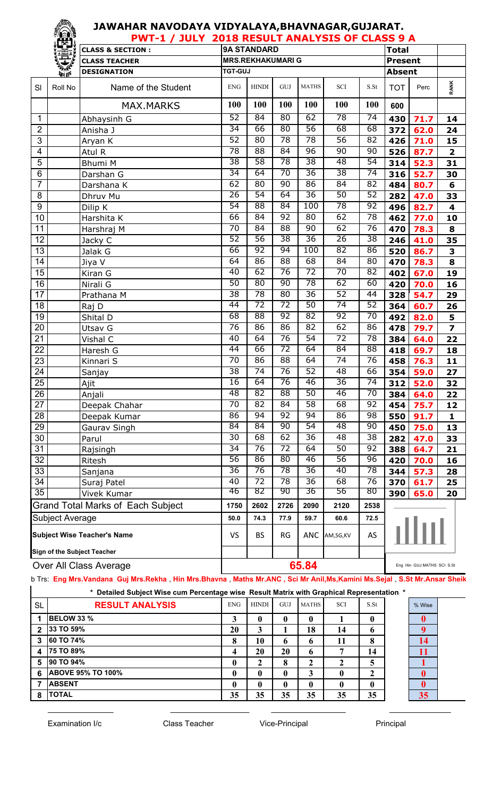#### **JAWAHAR NAVODAYA VIDYALAYA,BHAVNAGAR,GUJARAT. PWT-1 / JULY 2018 RESULT ANALYSIS OF CLASS 9 A**

|                                                       | Lej î           | F VV 1 - 4 /<br>JULI<br><u>UIU KLYULI ANALIYIY VI CLAYY</u><br>$\overline{\phantom{a}}$<br><b>9A STANDARD</b><br><b>Total</b><br><b>CLASS &amp; SECTION:</b> |                 |                                     |                 |                       |                 |                  |                |      |                         |  |
|-------------------------------------------------------|-----------------|--------------------------------------------------------------------------------------------------------------------------------------------------------------|-----------------|-------------------------------------|-----------------|-----------------------|-----------------|------------------|----------------|------|-------------------------|--|
|                                                       | 建议制造            | <b>CLASS TEACHER</b>                                                                                                                                         |                 | <b>MRS.REKHAKUMARI G</b>            |                 |                       |                 |                  | <b>Present</b> |      |                         |  |
|                                                       |                 | <b>DESIGNATION</b>                                                                                                                                           | <b>TGT-GUJ</b>  |                                     |                 |                       |                 |                  | <b>Absent</b>  |      |                         |  |
| SI                                                    | Roll No         | Name of the Student                                                                                                                                          | <b>ENG</b>      | <b>HINDI</b>                        | GUJ             | <b>MATHS</b>          | SCI             | S.S <sub>t</sub> | <b>TOT</b>     | Perc | <b>RANK</b>             |  |
|                                                       |                 | <b>MAX.MARKS</b>                                                                                                                                             | 100             | <b>100</b>                          | 100             | 100                   | 100             | 100              | 600            |      |                         |  |
| 1                                                     |                 | Abhaysinh G                                                                                                                                                  | 52              | 84                                  | 80              | 62                    | 78              | $\overline{74}$  | 430            | 71.7 | 14                      |  |
| $\overline{2}$                                        |                 | Anisha J                                                                                                                                                     | 34              | 66                                  | 80              | 56                    | 68              | 68               | 372            | 62.0 | 24                      |  |
| $\overline{3}$                                        |                 | Aryan K                                                                                                                                                      | 52              | 80                                  | 78              | 78                    | 56              | 82               | 426            | 71.0 | 15                      |  |
| 4                                                     |                 | Atul R                                                                                                                                                       | 78              | 88                                  | 84              | 96                    | 90              | 90               | 526            | 87.7 | $\overline{\mathbf{2}}$ |  |
| 5                                                     |                 | Bhumi M                                                                                                                                                      | 38              | 58                                  | 78              | 38                    | 48              | 54               | 314            | 52.3 | 31                      |  |
| 6                                                     |                 | Darshan G                                                                                                                                                    | $\overline{34}$ | 64                                  | 70              | $\overline{36}$       | 38              | $\overline{74}$  | 316            | 52.7 | 30                      |  |
| 7                                                     |                 | Darshana K                                                                                                                                                   | 62              | 80                                  | 90              | 86                    | 84              | 82               | 484            | 80.7 | 6                       |  |
| 8                                                     |                 | Dhruv Mu                                                                                                                                                     | $\overline{26}$ | 54                                  | 64              | $\overline{36}$       | 50              | $\overline{52}$  | 282            | 47.0 | 33                      |  |
| $\boldsymbol{9}$                                      |                 | Dilip K                                                                                                                                                      | 54              | 88                                  | $\overline{84}$ | 100                   | 78              | 92               | 496            | 82.7 | 4                       |  |
| 10                                                    |                 | Harshita K                                                                                                                                                   | 66              | 84                                  | 92              | 80                    | 62              | 78               | 462            | 77.0 | 10                      |  |
| 11                                                    |                 | Harshraj M                                                                                                                                                   | 70              | 84                                  | 88              | 90                    | 62              | 76               | 470            | 78.3 | 8                       |  |
| 12                                                    |                 | Jacky C                                                                                                                                                      | 52              | 56                                  | 38              | $\overline{36}$       | 26              | $\overline{38}$  | 246            | 41.0 | 35                      |  |
| $\overline{13}$                                       |                 | Jalak G                                                                                                                                                      | 66              | 92                                  | 94              | 100                   | 82              | 86               | 520            | 86.7 | 3                       |  |
| 14                                                    |                 | Jiya V                                                                                                                                                       | 64              | 86                                  | 88              | 68                    | 84              | 80               | 470            | 78.3 | 8                       |  |
| $\overline{15}$                                       |                 | Kiran G                                                                                                                                                      | 40              | 62                                  | 76              | $\overline{72}$       | 70              | 82               | 402            | 67.0 | 19                      |  |
| $\overline{16}$                                       |                 | Nirali G                                                                                                                                                     | 50              | $\overline{80}$                     | $\overline{90}$ | $\overline{78}$       | 62              | 60               | 420            | 70.0 | 16                      |  |
| 17                                                    |                 | Prathana M                                                                                                                                                   | $\overline{38}$ | $\overline{78}$                     | $\overline{80}$ | $\overline{36}$       | 52              | 44               | 328            | 54.7 | 29                      |  |
| 18                                                    |                 | Raj D                                                                                                                                                        | $\overline{44}$ | 72                                  | $\overline{72}$ | 50                    | 74              | 52               | 364            | 60.7 | 26                      |  |
| 19                                                    |                 | Shital D                                                                                                                                                     | 68              | 88                                  | $\overline{92}$ | 82                    | $\overline{92}$ | 70               | 492            | 82.0 | 5                       |  |
| 20                                                    |                 | Utsav G                                                                                                                                                      | 76              | 86                                  | 86              | 82                    | 62              | 86               | 478            | 79.7 | $\overline{\mathbf{z}}$ |  |
| 21                                                    |                 | Vishal C                                                                                                                                                     | 40              | 64                                  | 76              | 54                    | $\overline{72}$ | 78               | 384            | 64.0 | 22                      |  |
| $\overline{22}$                                       |                 | Haresh G                                                                                                                                                     | 44              | 66                                  | 72              | 64                    | 84              | $\overline{88}$  | 418            | 69.7 | 18                      |  |
| $\overline{23}$                                       |                 | Kinnari S                                                                                                                                                    | $\overline{70}$ | 86                                  | 88              | 64                    | $\overline{74}$ | 76               | 458            | 76.3 | 11                      |  |
| 24                                                    |                 | Sanjay                                                                                                                                                       | 38              | 74                                  | 76              | 52                    | 48              | 66               | 354            | 59.0 | 27                      |  |
| $\overline{25}$                                       |                 | Ajit                                                                                                                                                         | $\overline{16}$ | 64                                  | 76              | 46                    | 36              | $\overline{74}$  | 312            | 52.0 | 32                      |  |
| 26                                                    |                 | Anjali                                                                                                                                                       | $\overline{48}$ | $\overline{82}$                     | 88              | $\overline{50}$       | 46              | $\overline{70}$  | 384            | 64.0 | 22                      |  |
| 27                                                    |                 | Deepak Chahar                                                                                                                                                | $\overline{70}$ | $\overline{82}$                     | $\overline{84}$ | $\overline{58}$       | 68              | 92               | 454            | 75.7 | 12                      |  |
| 28                                                    |                 | Deepak Kumar                                                                                                                                                 | 86              | 94                                  | $\overline{92}$ | 94                    | 86              | 98               | 550            | 91.7 | 1                       |  |
| 29                                                    |                 | Gaurav Singh                                                                                                                                                 | 84              | 84                                  | 90              | $\overline{54}$       | 48              | 90               | 450            | 75.0 | 13                      |  |
| 30                                                    |                 | Parul                                                                                                                                                        | $\overline{30}$ | 68                                  | 62              | 36                    | 48              | $\overline{38}$  | 282            | 47.0 | 33                      |  |
| 31                                                    |                 | Rajsingh                                                                                                                                                     | $\overline{34}$ | 76                                  | $\overline{72}$ | 64                    | 50              | 92               | 388            | 64.7 | 21                      |  |
| 32                                                    |                 | Ritesh                                                                                                                                                       | 56              | 86                                  | 80              | 46                    | 56              | $\overline{96}$  | 420            | 70.0 | 16                      |  |
| 33                                                    |                 | Sanjana                                                                                                                                                      | $\overline{36}$ | 76                                  | 78              | 36                    | 40              | $\overline{78}$  | 344            | 57.3 | 28                      |  |
| $\overline{34}$                                       |                 | Suraj Patel                                                                                                                                                  | 40<br>46        | $\overline{72}$<br>82               | 78<br>90        | $\overline{36}$<br>36 | 68<br>56        | 76<br>80         | 370            | 61.7 | 25                      |  |
| $\overline{35}$                                       |                 | Vivek Kumar                                                                                                                                                  |                 |                                     |                 |                       |                 |                  | 390<br>65.0    |      | 20                      |  |
|                                                       |                 | Grand Total Marks of Each Subject                                                                                                                            | 1750            | 2602                                | 2726            | 2090                  | 2120            |                  | 2538           |      |                         |  |
|                                                       | Subject Average |                                                                                                                                                              | 50.0            | 74.3                                | 77.9            | 59.7                  | 60.6            | 72.5             |                |      |                         |  |
| <b>Subject Wise Teacher's Name</b>                    |                 |                                                                                                                                                              | <b>VS</b>       | <b>BS</b>                           | RG              | <b>ANC</b>            | AM,SG,KV        | AS               |                |      |                         |  |
| Sign of the Subject Teacher<br>Over All Class Average |                 |                                                                                                                                                              |                 |                                     |                 |                       |                 |                  |                |      |                         |  |
|                                                       |                 |                                                                                                                                                              |                 | 65.84<br>Eng Hin GUJ MATHS SCI S.St |                 |                       |                 |                  |                |      |                         |  |

Sub Trs: **Eng Mrs.Vandana Guj Mrs.Rekha** , **Hin Mrs.Bhavna** , **Maths Mr.ANC , Sci Mr Anil,Ms,Kamini Ms.Sejal** , **S.St Mr.Ansar Sheikh**

\_\_\_\_\_\_\_\_\_\_\_\_\_\_\_ \_\_\_\_\_\_\_\_\_\_\_\_\_\_\_\_\_\_ \_\_\_\_\_\_\_\_\_\_\_\_\_\_\_\_\_ \_\_\_\_\_\_\_\_\_\_\_\_\_\_

| Detailed Subject Wise cum Percentage wise Result Matrix with Graphical Representation * |                          |              |              |              |              |            |      |  |        |  |  |  |
|-----------------------------------------------------------------------------------------|--------------------------|--------------|--------------|--------------|--------------|------------|------|--|--------|--|--|--|
| <b>SL</b>                                                                               | <b>RESULT ANALYSIS</b>   | <b>ENG</b>   | <b>HINDI</b> | GUJ          | <b>MATHS</b> | <b>SCI</b> | S.St |  | % Wise |  |  |  |
| 1                                                                                       | <b>IBELOW 33 %</b>       |              | $\mathbf 0$  | 0            | 0            |            | 0    |  |        |  |  |  |
| $\mathbf{2}$                                                                            | 33 TO 59%                | 20           | 3            |              | 18           | 14         | 6    |  |        |  |  |  |
| 3                                                                                       | <b>60 TO 74%</b>         | 8            | 10           | 6            | 6            | 11         | 8    |  | 14     |  |  |  |
| 4                                                                                       | <b>75 TO 89%</b>         | 4            | 20           | 20           | 6            | ៗ          | 14   |  |        |  |  |  |
| 5                                                                                       | 90 TO 94%                | $\mathbf{0}$ |              | 8            | ን            |            | 5    |  |        |  |  |  |
| 6                                                                                       | <b>ABOVE 95% TO 100%</b> | $\mathbf{0}$ | $\mathbf{0}$ |              | 3            |            | 2    |  |        |  |  |  |
|                                                                                         | <b>ABSENT</b>            | $\mathbf{0}$ | $\mathbf{0}$ | $\mathbf{0}$ | 0            | 0          | 0    |  |        |  |  |  |
| 8                                                                                       | <b>TOTAL</b>             | 35           | 35           | 35           | 35           | 35         | 35   |  | 35     |  |  |  |

| % Wise |  |
|--------|--|
|        |  |
| ŋ      |  |
|        |  |
|        |  |
|        |  |
|        |  |
|        |  |
|        |  |
|        |  |

Examination I/c **Class Teacher** Vice-Principal Principal Principal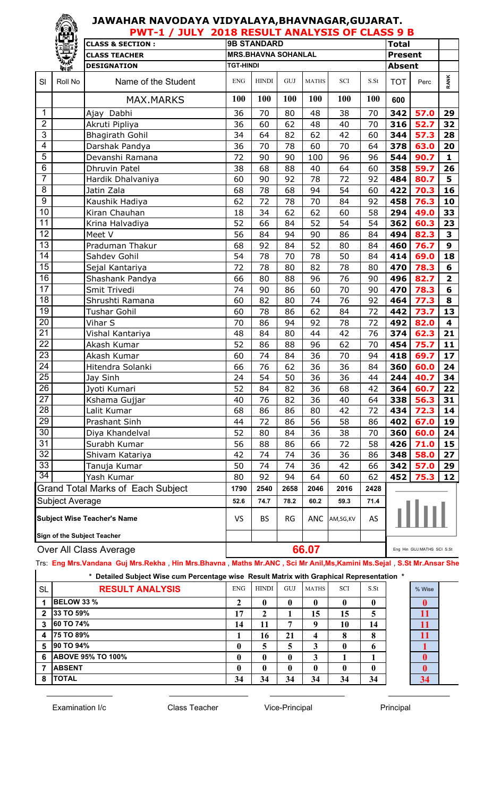|                         |                  |                                          | <b>PWT-1 / JULY 2018 RESULT ANALYSIS OF CLASS 9 B</b> |                            |           |              |                             |      |                |                            |                         |
|-------------------------|------------------|------------------------------------------|-------------------------------------------------------|----------------------------|-----------|--------------|-----------------------------|------|----------------|----------------------------|-------------------------|
|                         |                  | <b>CLASS &amp; SECTION:</b>              |                                                       | <b>9B STANDARD</b>         |           |              |                             |      | <b>Total</b>   |                            |                         |
|                         |                  | <b>CLASS TEACHER</b>                     |                                                       | <b>MRS.BHAVNA SOHANLAL</b> |           |              |                             |      | <b>Present</b> |                            |                         |
|                         | <b>Port dell</b> | <b>DESIGNATION</b>                       | <b>TGT-HINDI</b>                                      |                            |           |              |                             |      | <b>Absent</b>  |                            |                         |
| SI                      | Roll No          | Name of the Student                      | <b>ENG</b>                                            | <b>HINDI</b>               | GUJ       | <b>MATHS</b> | $\ensuremath{\mathbf{SCI}}$ | S.St | <b>TOT</b>     | Perc                       | <b>RANK</b>             |
|                         |                  | <b>MAX.MARKS</b>                         | 100                                                   | 100                        | 100       | 100          | 100                         | 100  | 600            |                            |                         |
| 1                       |                  | Ajay Dabhi                               | 36                                                    | 70                         | 80        | 48           | 38                          | 70   | 342            | 57.0                       | 29                      |
| $\overline{2}$          |                  | Akruti Pipliya                           | 36                                                    | 60                         | 62        | 48           | 40                          | 70   | 316            | 52.7                       | 32                      |
| $\overline{3}$          |                  | <b>Bhagirath Gohil</b>                   | 34                                                    | 64                         | 82        | 62           | 42                          | 60   | 344            | 57.3                       | 28                      |
| $\overline{\mathbf{4}}$ |                  | Darshak Pandya                           | 36                                                    | 70                         | 78        | 60           | 70                          | 64   | 378            | 63.0                       | 20                      |
| 5                       |                  | Devanshi Ramana                          | 72                                                    | 90                         | 90        | 100          | 96                          | 96   | 544            | 90.7                       | $\mathbf{1}$            |
| $\overline{6}$          |                  | Dhruvin Patel                            | 38                                                    | 68                         | 88        | 40           | 64                          | 60   | 358            | 59.7                       | 26                      |
| $\overline{7}$          |                  | Hardik Dhalvaniya                        | 60                                                    | 90                         | 92        | 78           | 72                          | 92   | 484            | 80.7                       | 5                       |
| 8                       |                  | Jatin Zala                               | 68                                                    | 78                         | 68        | 94           | 54                          | 60   | 422            | 70.3                       | 16                      |
| $\boldsymbol{9}$        |                  | Kaushik Hadiya                           | 62                                                    | 72                         | 78        | 70           | 84                          | 92   | 458            | 76.3                       | 10                      |
| 10                      |                  | Kiran Chauhan                            | 18                                                    | 34                         | 62        | 62           | 60                          | 58   | 294            | 49.0                       | 33                      |
| 11                      |                  | Krina Halvadiya                          | 52                                                    | 66                         | 84        | 52           | 54                          | 54   | 362            | 60.3                       | 23                      |
| 12                      |                  | Meet V                                   | 56                                                    | 84                         | 94        | 90           | 86                          | 84   | 494            | 82.3                       | 3                       |
| 13                      |                  | Praduman Thakur                          | 68                                                    | 92                         | 84        | 52           | 80                          | 84   | 460            | 76.7                       | $\mathbf{9}$            |
| 14                      |                  | Sahdev Gohil                             | 54                                                    | 78                         | 70        | 78           | 50                          | 84   | 414            | 69.0                       | 18                      |
| $\overline{15}$         |                  | Sejal Kantariya                          | 72                                                    | 78                         | 80        | 82           | 78                          | 80   | 470            | 78.3                       | 6                       |
| 16                      |                  | Shashank Pandya                          | 66                                                    | 80                         | 88        | 96           | 76                          | 90   | 496            | 82.7                       | $\overline{\mathbf{2}}$ |
| $\overline{17}$         |                  | Smit Trivedi                             | 74                                                    | 90                         | 86        | 60           | 70                          | 90   | 470            | 78.3                       | 6                       |
| 18                      |                  | Shrushti Ramana                          | 60                                                    | 82                         | 80        | 74           | 76                          | 92   | 464            | 77.3                       | 8                       |
| 19                      |                  | <b>Tushar Gohil</b>                      | 60                                                    | 78                         | 86        | 62           | 84                          | 72   | 442            | 73.7                       | 13                      |
| 20                      |                  | Vihar S                                  | 70                                                    | 86                         | 94        | 92           | 78                          | 72   | 492            | 82.0                       | $\overline{\mathbf{4}}$ |
| 21                      |                  | Vishal Kantariya                         | 48                                                    | 84                         | 80        | 44           | 42                          | 76   | 374            | 62.3                       | 21                      |
| $\overline{22}$         |                  | Akash Kumar                              | 52                                                    | 86                         | 88        | 96           | 62                          | 70   | 454            | 75.7                       | 11                      |
| 23                      |                  | Akash Kumar                              | 60                                                    | 74                         | 84        | 36           | 70                          | 94   | 418            | 69.7                       | 17                      |
| 24                      |                  | Hitendra Solanki                         | 66                                                    | 76                         | 62        | 36           | 36                          | 84   | 360            | 60.0                       | 24                      |
| $\overline{25}$         |                  | Jay Sinh                                 | 24                                                    | 54                         | 50        | 36           | 36                          | 44   | 244            | 40.7                       | 34                      |
| 26                      |                  | Jyoti Kumari                             | 52                                                    | 84                         | 82        | 36           | 68                          | 42   | 364            | 60.7                       | 22                      |
| 27                      |                  | Kshama Gujjar                            | 40                                                    | 76                         | 82        | 36           | 40                          | 64   | 338            | 56.3                       | 31                      |
| 28                      |                  | Lalit Kumar                              | 68                                                    | 86                         | 86        | 80           | 42                          | 72   | 434            | 72.3                       | 14                      |
| 29                      |                  | Prashant Sinh                            | 44                                                    | 72                         | 86        | 56           | 58                          | 86   | 402            | 67.0                       | 19                      |
| 30                      |                  | Diya Khandelval                          | 52                                                    | 80                         | 84        | 36           | 38                          | 70   | 360            | 60.0                       | 24                      |
| 31                      |                  | Surabh Kumar                             | 56                                                    | 88                         | 86        | 66           | 72                          | 58   | 426            | 71.0                       | 15                      |
| 32                      |                  | Shivam Katariya                          | 42                                                    | 74                         | 74        | 36           | 36                          | 86   | 348            | 58.0                       | 27                      |
| 33                      |                  | Tanuja Kumar                             | 50                                                    | 74                         | 74        | 36           | 42                          | 66   | 342            | 57.0                       | 29                      |
| 34                      |                  | Yash Kumar                               | 80                                                    | 92                         | 94        | 64           | 60                          | 62   | 452            | 75.3                       | 12                      |
|                         |                  | <b>Grand Total Marks of Each Subject</b> | 1790                                                  | 2540                       | 2658      | 2046         | 2016                        | 2428 |                |                            |                         |
|                         | Subject Average  |                                          | 52.6                                                  | 74.7                       | 78.2      | 60.2         | 59.3                        | 71.4 |                |                            |                         |
|                         |                  | <b>Subject Wise Teacher's Name</b>       | <b>VS</b>                                             | <b>BS</b>                  | <b>RG</b> | <b>ANC</b>   | AM,SG,KV                    | AS   |                |                            |                         |
|                         |                  | <b>Sign of the Subject Teacher</b>       |                                                       |                            |           |              |                             |      |                |                            |                         |
|                         |                  | Over All Class Average                   |                                                       |                            |           | 66.07        |                             |      |                | Eng Hin GUJ MATHS SCI S.St |                         |

Sub Trs: **Eng Mrs.Vandana Guj Mrs.Rekha** , **Hin Mrs.Bhavna** , **Maths Mr.ANC , Sci Mr Anil,Ms,Kamini Ms.Sejal** , **S.St Mr.Ansar Sheikh**

\_\_\_\_\_\_\_\_\_\_\_\_\_\_\_ \_\_\_\_\_\_\_\_\_\_\_\_\_\_\_\_\_\_ \_\_\_\_\_\_\_\_\_\_\_\_\_\_\_\_\_ \_\_\_\_\_\_\_\_\_\_\_\_\_\_

| * Detailed Subject Wise cum Percentage wise Result Matrix with Graphical Representation * |  |  |  |
|-------------------------------------------------------------------------------------------|--|--|--|
|                                                                                           |  |  |  |

|                         | Detailed Oubject Hise cam I creditage moc Twoult matrix mith Oraphical Representation |              |              |              |              |            |                  |  |        |  |  |  |
|-------------------------|---------------------------------------------------------------------------------------|--------------|--------------|--------------|--------------|------------|------------------|--|--------|--|--|--|
| <b>SL</b>               | <b>RESULT ANALYSIS</b>                                                                | <b>ENG</b>   | <b>HINDI</b> | GUJ          | MATHS        | <b>SCI</b> | S.S <sub>t</sub> |  | % Wise |  |  |  |
|                         | <b>BELOW 33 %</b>                                                                     | ∠            |              | $\bf{0}$     | $\mathbf{0}$ |            | 0                |  |        |  |  |  |
| $\overline{2}$          | 33 TO 59%                                                                             | 17           | ∍<br>∠       |              | 15           | 15         | 5                |  | 11     |  |  |  |
| 3                       | 60 TO 74%                                                                             | 14           | 11           | 7            | q            | 10         | 14               |  | 11     |  |  |  |
| $\overline{\mathbf{4}}$ | 75 TO 89%                                                                             |              | 16           | 21           | 4            | 8          | 8                |  | 11     |  |  |  |
| 5                       | 90 TO 94%                                                                             | 0            |              | 5            |              | 0          | 6                |  |        |  |  |  |
| 6                       | <b>ABOVE 95% TO 100%</b>                                                              | $\mathbf{0}$ |              | $\mathbf{0}$ | 3            |            |                  |  |        |  |  |  |
|                         | <b>ABSENT</b>                                                                         | $\bf{0}$     |              | $\bf{0}$     | $\mathbf{0}$ |            | 0                |  |        |  |  |  |
| 8                       | <b>TOTAL</b>                                                                          | 34           | 34           | 34           | 34           | 34         | 34               |  | 34     |  |  |  |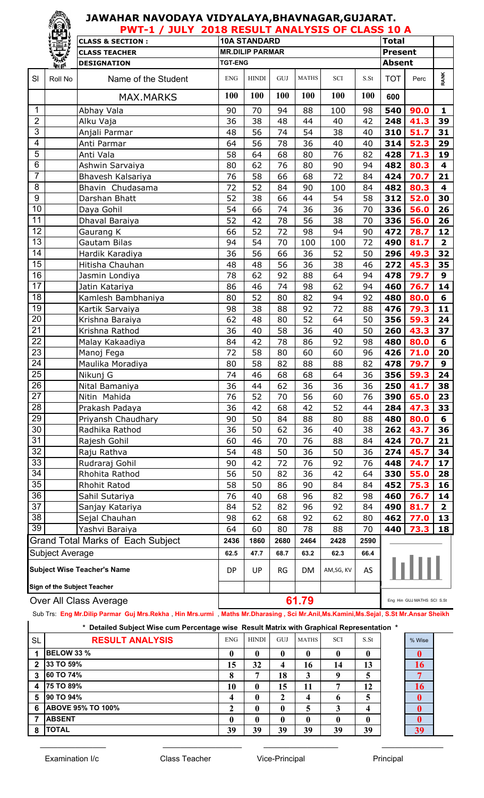|                         | ran <sup>s</sup> | <b>PWT-1 / JULY 2018 RESULT ANALYSIS OF CLASS 10 A</b> |                |                        |           |              |           |      |                |                                                                                                                                                            |              |  |  |
|-------------------------|------------------|--------------------------------------------------------|----------------|------------------------|-----------|--------------|-----------|------|----------------|------------------------------------------------------------------------------------------------------------------------------------------------------------|--------------|--|--|
|                         |                  | <b>CLASS &amp; SECTION:</b>                            |                | <b>10A STANDARD</b>    |           |              |           |      | <b>Total</b>   |                                                                                                                                                            |              |  |  |
|                         | Ī)               | <b>CLASS TEACHER</b>                                   |                | <b>MR.DILIP PARMAR</b> |           |              |           |      | <b>Present</b> |                                                                                                                                                            |              |  |  |
|                         | 美好               | <b>DESIGNATION</b>                                     | <b>TGT-ENG</b> |                        |           |              |           |      | <b>Absent</b>  |                                                                                                                                                            |              |  |  |
| SI                      | Roll No          | Name of the Student                                    | <b>ENG</b>     | <b>HINDI</b>           | GUJ       | <b>MATHS</b> | SCI       | S.St | <b>TOT</b>     | Perc                                                                                                                                                       | <b>RANK</b>  |  |  |
|                         |                  | <b>MAX.MARKS</b>                                       | 100            | 100                    | 100       | 100          | 100       | 100  | 600            |                                                                                                                                                            |              |  |  |
| 1                       |                  | Abhay Vala                                             | 90             | 70                     | 94        | 88           | 100       | 98   | 540            | 90.0                                                                                                                                                       | 1            |  |  |
| $\mathbf{2}$            |                  | Alku Vaja                                              | 36             | 38                     | 48        | 44           | 40        | 42   | 248            | 41.3                                                                                                                                                       | 39           |  |  |
| $\overline{3}$          |                  | Anjali Parmar                                          | 48             | 56                     | 74        | 54           | 38        | 40   | 310            | 51.7                                                                                                                                                       | 31           |  |  |
| $\overline{\mathbf{4}}$ |                  | Anti Parmar                                            | 64             | 56                     | 78        | 36           | 40        | 40   | 314            | 52.3                                                                                                                                                       | 29           |  |  |
| $\overline{5}$          |                  | Anti Vala                                              | 58             | 64                     | 68        | 80           | 76        | 82   | 428            | 71.3                                                                                                                                                       | 19           |  |  |
| $\overline{6}$          |                  | Ashwin Sarvaiya                                        | 80             | 62                     | 76        | 80           | 90        | 94   | 482            | 80.3                                                                                                                                                       | 4            |  |  |
| $\overline{7}$          |                  | Bhavesh Kalsariya                                      | 76             | 58                     | 66        | 68           | 72        | 84   | 424            | 70.7                                                                                                                                                       | 21           |  |  |
| 8                       |                  | Bhavin Chudasama                                       | 72             | 52                     | 84        | 90           | 100       | 84   | 482            | 80.3                                                                                                                                                       | 4            |  |  |
| $\overline{9}$          |                  | Darshan Bhatt                                          | 52             | 38                     | 66        | 44           | 54        | 58   | 312            | 52.0                                                                                                                                                       | 30           |  |  |
| $\overline{10}$         |                  | Daya Gohil                                             | 54             | 66                     | 74        | 36           | 36        | 70   | 336            | 56.0                                                                                                                                                       | 26           |  |  |
| 11                      |                  | Dhaval Baraiya                                         | 52             | 42                     | 78        | 56           | 38        | 70   | 336            | 56.0<br>472<br>78.7<br>490<br>81.7<br>49.3<br>296<br>45.3<br>272<br>478<br>79.7<br>460<br>76.7<br>80.0<br>480<br>476<br>79.3<br>59.3<br>356<br>43.3<br>260 |              |  |  |
| 12                      |                  | Gaurang K                                              | 66             | 52                     | 72        | 98           | 94        | 90   |                | 480<br>80.0                                                                                                                                                |              |  |  |
| $\overline{13}$         |                  | Gautam Bilas                                           | 94             | 54                     | 70        | 100          | 100       | 72   |                |                                                                                                                                                            |              |  |  |
| $\overline{14}$         |                  | Hardik Karadiya                                        | 36             | 56                     | 66        | 36           | 52        | 50   |                |                                                                                                                                                            | 32           |  |  |
| 15                      |                  | Hitisha Chauhan                                        | 48             | 48                     | 56        | 36           | 38        | 46   |                |                                                                                                                                                            | 35           |  |  |
| $\overline{16}$         |                  | Jasmin Londiya                                         | 78             | 62                     | 92        | 88           | 64        | 94   |                |                                                                                                                                                            | $\mathbf{9}$ |  |  |
| 17                      |                  | Jatin Katariya                                         | 86             | 46                     | 74        | 98           | 62        | 94   |                |                                                                                                                                                            | 14           |  |  |
| $\overline{18}$         |                  | Kamlesh Bambhaniya                                     | 80             | 52                     | 80        | 82           | 94        | 92   |                |                                                                                                                                                            | 6            |  |  |
| $\overline{19}$         |                  | Kartik Sarvaiya                                        | 98             | 38                     | 88        | 92           | 72        | 88   |                |                                                                                                                                                            | 11           |  |  |
| 20                      |                  | Krishna Baraiya                                        | 62             | 48                     | 80        | 52           | 64        | 50   |                |                                                                                                                                                            | 24           |  |  |
| $\overline{21}$         |                  | Krishna Rathod                                         | 36             | 40                     | 58        | 36           | 40        | 50   |                |                                                                                                                                                            | 37           |  |  |
| $\overline{22}$         |                  | Malay Kakaadiya                                        | 84             | 42                     | 78        | 86           | 92        | 98   |                |                                                                                                                                                            | 6            |  |  |
| $\overline{23}$         |                  | Manoj Fega                                             | 72             | 58                     | 80        | 60           | 60        | 96   | 426            | 71.0                                                                                                                                                       | 20           |  |  |
| $\overline{24}$         |                  | Maulika Moradiya                                       | 80             | 58                     | 82        | 88           | 88        | 82   | 478            | 79.7                                                                                                                                                       | $\mathbf{9}$ |  |  |
| $\overline{25}$         |                  | Nikunj G                                               | 74             | 46                     | 68        | 68           | 64        | 36   | 356            | 59.3                                                                                                                                                       | 24           |  |  |
| 26                      |                  | Nital Bamaniya                                         | 36             | 44                     | 62        | 36           | 36        | 36   | 250            | 41.7                                                                                                                                                       | 38           |  |  |
| 27                      |                  | Nitin Mahida                                           | 76             | 52                     | 70        | 56           | 60        | 76   | 390            | 65.0                                                                                                                                                       | 23           |  |  |
| $\overline{28}$         |                  | Prakash Padaya                                         | 36             | 42                     | 68        | 42           | 52        | 44   | 284            | 47.3                                                                                                                                                       | 33           |  |  |
| 29                      |                  | Priyansh Chaudhary                                     | 90             | 50                     | 84        | 88           | 80        | 88   | 480            | 80.0                                                                                                                                                       | 6            |  |  |
| 30                      |                  | Radhika Rathod                                         | 36             | 50                     | 62        | 36           | 40        | 38   | 262            | 43.7                                                                                                                                                       | 36           |  |  |
| 31                      |                  | Rajesh Gohil                                           | 60             | 46                     | 70        | 76           | 88        | 84   | 424            | 70.7                                                                                                                                                       | 21           |  |  |
| $\overline{32}$         |                  | Raju Rathva                                            | 54             | 48                     | 50        | 36           | 50        | 36   | 274            | 45.7                                                                                                                                                       | 34           |  |  |
| 33                      |                  | Rudraraj Gohil                                         | 90             | 42                     | 72        | 76           | 92        | 76   | 448            | 74.7                                                                                                                                                       | 17           |  |  |
| 34                      |                  | Rhohita Rathod                                         | 56             | 50                     | 82        | 36           | 42        | 64   | 330            | 55.0                                                                                                                                                       | 28           |  |  |
| $\overline{35}$         |                  | <b>Rhohit Ratod</b>                                    | 58             | 50                     | 86        | 90           | 84        | 84   | 452            | 75.3                                                                                                                                                       | 16           |  |  |
| 36                      |                  | Sahil Sutariya                                         | 76             | 40                     | 68        | 96           | 82        | 98   | 460            | 76.7                                                                                                                                                       | 14           |  |  |
| $\overline{37}$         |                  | Sanjay Katariya                                        | 84             | 52                     | 82        | 96           | 92        | 84   | 490            | 81.7                                                                                                                                                       | $\mathbf{2}$ |  |  |
| 38                      |                  | Sejal Chauhan                                          | 98             | 62                     | 68        | 92           | 62        | 80   | 462            | 77.0                                                                                                                                                       | 13           |  |  |
| 39                      |                  | Yashvi Baraiya                                         | 64             | 60                     | 80        | 78           | 88        | 70   | 440            | 73.3                                                                                                                                                       | 18           |  |  |
|                         |                  | Grand Total Marks of Each Subject                      | 2436           | 1860                   | 2680      | 2464         | 2428      | 2590 |                |                                                                                                                                                            |              |  |  |
|                         | Subject Average  |                                                        | 62.5           | 47.7                   | 68.7      | 63.2         | 62.3      | 66.4 |                |                                                                                                                                                            |              |  |  |
|                         |                  | <b>Subject Wise Teacher's Name</b>                     | DP             | UP                     | <b>RG</b> | DM           | AM,SG, KV | AS   |                |                                                                                                                                                            |              |  |  |
|                         |                  | Sign of the Subject Teacher                            |                |                        |           |              |           |      |                |                                                                                                                                                            |              |  |  |
|                         |                  | Over All Class Average                                 |                |                        |           | 61.79        |           |      |                | Eng Hin GUJ MATHS SCI S.St                                                                                                                                 |              |  |  |

Sub Trs: **Eng Mr.Dilip Parmar Guj Mrs.Rekha** , **Hin Mrs.urmi** , **Maths Mr.Dharasing , Sci Mr.Anil,Ms.Kamini,Ms.Sejal**, **S.St Mr.Ansar Sheikh**

| * Detailed Subject Wise cum Percentage wise Result Matrix with Graphical Representation * |                          |            |              |     |              |     |      |  |        |  |  |  |
|-------------------------------------------------------------------------------------------|--------------------------|------------|--------------|-----|--------------|-----|------|--|--------|--|--|--|
| <b>SL</b>                                                                                 | <b>RESULT ANALYSIS</b>   | <b>ENG</b> | <b>HINDI</b> | GUJ | <b>MATHS</b> | SCI | S.St |  | % Wise |  |  |  |
|                                                                                           | <b>BELOW 33 %</b>        | 0          | 0            | 0   | 0            |     | 0    |  |        |  |  |  |
| 2                                                                                         | 33 TO 59%                | 15         | 32           |     | 16           | 14  | 13   |  | 16     |  |  |  |
| 3                                                                                         | 60 TO 74%                | 8          | 7            | 18  | 3            | q   | 5    |  |        |  |  |  |
|                                                                                           | 4 75 TO 89%              | 10         | 0            | 15  | 11           | 7   | 12   |  |        |  |  |  |
| 5                                                                                         | <b>90 TO 94%</b>         | 4          | $\mathbf{0}$ | ኅ   | 4            | O   | 5    |  |        |  |  |  |
| 6                                                                                         | <b>ABOVE 95% TO 100%</b> | ኅ          | $\bf{0}$     |     | 5            |     | 4    |  |        |  |  |  |
|                                                                                           | <b>ABSENT</b>            | 0          | $\mathbf{0}$ |     | 0            | 0   | 0    |  |        |  |  |  |
| 8                                                                                         | <b>ITOTAL</b>            | 39         | 39           | 39  | 39           | 39  | 39   |  | 39     |  |  |  |

\_\_\_\_\_\_\_\_\_\_\_\_\_\_\_ \_\_\_\_\_\_\_\_\_\_\_\_\_\_\_\_\_\_ \_\_\_\_\_\_\_\_\_\_\_\_\_\_\_\_\_ \_\_\_\_\_\_\_\_\_\_\_\_\_\_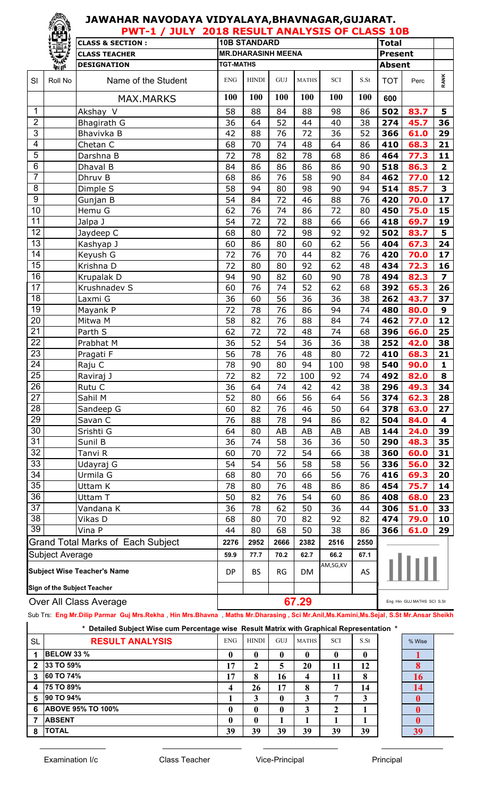|                         | <b>PWT-1 / JULY 2018 RESULT ANALYSIS OF CLASS 10B</b> |                                                                   |                  |                           |             |              |                             |      |                |                            |                         |
|-------------------------|-------------------------------------------------------|-------------------------------------------------------------------|------------------|---------------------------|-------------|--------------|-----------------------------|------|----------------|----------------------------|-------------------------|
|                         |                                                       | <b>CLASS &amp; SECTION:</b>                                       |                  | <b>10B STANDARD</b>       |             |              |                             |      | <b>Total</b>   |                            |                         |
|                         | 宝                                                     | <b>CLASS TEACHER</b>                                              |                  | <b>MR.DHARASINH MEENA</b> |             |              |                             |      | <b>Present</b> |                            |                         |
|                         | 美好                                                    | <b>DESIGNATION</b>                                                | <b>TGT-MATHS</b> |                           |             |              |                             |      | <b>Absent</b>  |                            |                         |
| SI                      | Roll No                                               | Name of the Student                                               | <b>ENG</b>       | <b>HINDI</b>              | ${\rm GUI}$ | <b>MATHS</b> | $\ensuremath{\mathbf{SCI}}$ | S.St | <b>TOT</b>     | Perc                       | <b>RANK</b>             |
|                         |                                                       | <b>MAX.MARKS</b>                                                  | 100              | 100                       | 100         | 100          | 100                         | 100  | 600            |                            |                         |
| $\mathbf 1$             |                                                       | Akshay V                                                          | 58               | 88                        | 84          | 88           | 98                          | 86   | 502            | 83.7                       | 5                       |
| $\overline{2}$          |                                                       | Bhagirath G                                                       | 36               | 64                        | 52          | 44           | 40                          | 38   | 274            | 45.7                       | 36                      |
| $\overline{3}$          |                                                       | Bhavivka B                                                        | 42               | 88                        | 76          | 72           | 36                          | 52   | 366            | 61.0                       | 29                      |
| $\overline{\mathbf{4}}$ |                                                       | Chetan C                                                          | 68               | 70                        | 74          | 48           | 64                          | 86   | 410            | 68.3                       | 21                      |
| 5                       |                                                       | Darshna B                                                         | 72               | 78                        | 82          | 78           | 68                          | 86   | 464            | 77.3                       | 11                      |
| $6\phantom{1}6$         |                                                       | Dhaval B                                                          | 84               | 86                        | 86          | 86           | 86                          | 90   | 518            | 86.3                       | $\mathbf{2}$            |
| $\overline{7}$          |                                                       | Dhruv B                                                           | 68               | 86                        | 76          | 58           | 90                          | 84   | 462            | 77.0                       | 12                      |
| 8                       |                                                       | Dimple S                                                          | 58               | 94                        | 80          | 98           | 90                          | 94   | 514            | 85.7                       | 3                       |
| $\boldsymbol{9}$        |                                                       | Gunjan B                                                          | 54               | 84                        | 72          | 46           | 88                          | 76   | 420            | 70.0                       | 17                      |
| 10                      |                                                       | Hemu G                                                            | 62               | 76                        | 74          | 86           | 72                          | 80   | 450            | 75.0                       | 15                      |
| 11                      |                                                       | Jalpa J                                                           | 54               | 72                        | 72          | 88           | 66                          | 66   | 418            | 69.7                       | 19                      |
| 12                      |                                                       | Jaydeep C                                                         | 68               | 80                        | 72          | 98           | 92                          | 92   | 502            | 83.7                       | 5 <sup>1</sup>          |
| $\overline{13}$         |                                                       | Kashyap J                                                         | 60               | 86                        | 80          | 60           | 62                          | 56   | 404            | 67.3                       | 24                      |
| 14                      |                                                       | Keyush G                                                          | 72               | 76                        | 70          | 44           | 82                          | 76   | 420            | 70.0                       | 17                      |
| $\overline{15}$         |                                                       | Krishna D                                                         | 72               | 80                        | 80          | 92           | 62                          | 48   | 434            | 72.3                       | 16                      |
| 16                      |                                                       | Krupalak D                                                        | 94               | 90                        | 82          | 60           | 90                          | 78   | 494            | 82.3                       | $\overline{\mathbf{z}}$ |
| $\overline{17}$         |                                                       | Krushnadev S                                                      | 60               | 76                        | 74          | 52           | 62                          | 68   | 392            | 65.3                       | 26                      |
| 18                      |                                                       | Laxmi G                                                           | 36               | 60                        | 56          | 36           | 36                          | 38   | 262            | 43.7                       | 37                      |
| 19                      |                                                       | Mayank P                                                          | 72               | 78                        | 76          | 86           | 94                          | 74   | 480            | 80.0                       | 9                       |
| 20                      |                                                       | Mitwa M                                                           | 58               | 82                        | 76          | 88           | 84                          | 74   | 462            | 77.0                       | 12                      |
| 21                      |                                                       | Parth S                                                           | 62               | 72                        | 72          | 48           | 74                          | 68   | 396            | 66.0                       | 25                      |
| $\overline{22}$         |                                                       | Prabhat M                                                         | 36               | 52                        | 54          | 36           | 36                          | 38   | 252            | 42.0                       | 38                      |
| 23                      |                                                       | Pragati F                                                         | 56               | 78                        | 76          | 48           | 80                          | 72   | 410            | 68.3                       | 21                      |
| 24                      |                                                       | Raju C                                                            | 78               | 90                        | 80          | 94           | 100                         | 98   | 540            | 90.0                       | $\mathbf{1}$            |
| $\overline{25}$         |                                                       | Raviraj J                                                         | 72               | 82                        | 72          | 100          | 92                          | 74   | 492            | 82.0                       | 8                       |
| 26                      |                                                       | Rutu C                                                            | 36               | 64                        | 74          | 42           | 42                          | 38   | 296            | 49.3                       | 34                      |
| 27                      |                                                       | Sahil M                                                           | 52               | 80                        | 66          | 56           | 64                          | 56   | 374            | 62.3                       | 28                      |
| 28                      |                                                       | Sandeep G                                                         | 60               | 82                        | 76          | 46           | 50                          | 64   | 378            | 63.0                       | 27                      |
| 29                      |                                                       | Savan C                                                           | 76               | 88                        | 78          | 94           | 86                          | 82   | 504            | 84.0                       | 4                       |
| 30                      |                                                       | Srishti G                                                         | 64               | 80                        | AB          | AB           | AB                          | AB   | 144            | 24.0                       | 39                      |
| 31                      |                                                       | Sunil B                                                           | 36               | 74                        | 58          | 36           | 36                          | 50   | 290            | 48.3                       | 35                      |
| 32                      |                                                       | Tanvi R                                                           | 60               | 70                        | 72          | 54           | 66                          | 38   | 360            | 60.0                       | 31                      |
| 33                      |                                                       | Udayraj G                                                         | 54               | 54                        | 56          | 58           | 58                          | 56   | 336            | 56.0                       | 32                      |
| 34                      |                                                       | Urmila G                                                          | 68               | 80                        | 70          | 66           | 56                          | 76   | 416            | 69.3                       | 20                      |
| 35                      |                                                       | Uttam K                                                           | 78               | 80                        | 76          | 48           | 86                          | 86   | 454            | 75.7                       | 14                      |
| 36                      |                                                       | Uttam T                                                           | 50               | 82                        | 76          | 54           | 60                          | 86   | 408            | 68.0                       | 23                      |
| 37                      |                                                       | Vandana K                                                         | 36               | 78                        | 62          | 50           | 36                          | 44   | 306            | 51.0                       | 33                      |
| 38                      |                                                       | Vikas D                                                           | 68               | 80                        | 70          | 82           | 92                          | 82   | 474            | 79.0                       | 10                      |
| 39                      |                                                       | Vina P                                                            | 44               | 80                        | 68          | 50           | 38                          | 86   | 366            | 61.0                       | 29                      |
|                         |                                                       | Grand Total Marks of Each Subject                                 | 2276             | 2952                      | 2666        | 2382         | 2516                        | 2550 |                |                            |                         |
|                         | <b>Subject Average</b>                                |                                                                   | 59.9             | 77.7                      | 70.2        | 62.7         | 66.2                        | 67.1 |                |                            |                         |
|                         |                                                       | <b>Subject Wise Teacher's Name</b><br>Sign of the Subject Teacher | DP               | <b>BS</b>                 | <b>RG</b>   | DM           | AM,SG,KV                    | AS   |                |                            |                         |
|                         |                                                       |                                                                   |                  |                           |             |              |                             |      |                |                            |                         |
|                         |                                                       | Over All Class Average                                            |                  |                           |             | 67.29        |                             |      |                | Eng Hin GUJ MATHS SCI S.St |                         |

Sub Trs: **Eng Mr.Dilip Parmar Guj Mrs.Rekha** , **Hin Mrs.Bhavna** , **Maths Mr.Dharasing , Sci Mr.Anil,Ms.Kamini,Ms.Sejal**, **S.St Mr.Ansar Sheikh**

 $\_$  , and the set of the set of the set of the set of the set of the set of the set of the set of the set of the set of the set of the set of the set of the set of the set of the set of the set of the set of the set of th

|           | <u>UUU TISE ENG MILDING TANNA UU MIS.INGNIIA TIIN MIS.DHAVIIA MAUS MILDINAISING TULI MILDINING NAMINING OGAN OOL MI</u> |      |              |            |              |     |      |  |        |  |  |  |  |
|-----------|-------------------------------------------------------------------------------------------------------------------------|------|--------------|------------|--------------|-----|------|--|--------|--|--|--|--|
|           | * Detailed Subject Wise cum Percentage wise Result Matrix with Graphical Representation *                               |      |              |            |              |     |      |  |        |  |  |  |  |
| <b>SL</b> | <b>RESULT ANALYSIS</b>                                                                                                  | ENG. | <b>HINDI</b> | <b>GUJ</b> | <b>MATHS</b> | SCI | S.St |  | % Wise |  |  |  |  |
|           | <b>BELOW 33 %</b>                                                                                                       | 0    | $\mathbf{0}$ | 0          | 0            |     |      |  |        |  |  |  |  |
|           | 33 TO 59%                                                                                                               | 17   |              | 5          | 20           | 11  | 12   |  |        |  |  |  |  |
|           | <b>60 TO 74%</b>                                                                                                        | 17   | 8            | 16         | 4            | 11  |      |  | 16     |  |  |  |  |
|           | <b>75 TO 89%</b>                                                                                                        | 4    | 26           | 17         | 8            |     | 14   |  | 14     |  |  |  |  |
| 5         | 90 TO 94%                                                                                                               |      |              | 0          | 3            |     |      |  |        |  |  |  |  |
| 6         | <b>ABOVE 95% TO 100%</b>                                                                                                | 0    | $\mathbf{0}$ | 0          | 3            |     |      |  |        |  |  |  |  |
|           | <b>ABSENT</b>                                                                                                           | 0    | $\mathbf{0}$ |            |              |     |      |  |        |  |  |  |  |

| SL | <b>RESULT ANALYSIS</b> | <b>ENG</b> | <b>HINDI</b> | GUJ | <b>MATHS</b> | <b>SCI</b> | S St     | % Wise |
|----|------------------------|------------|--------------|-----|--------------|------------|----------|--------|
| 4  | BELOW 33 %             | 0          | 0            | 0   |              |            | $\bf{0}$ |        |
|    | 2 33 TO 59%            | 17         | ∠            | 5   | 20           | 11         | 12       |        |
|    | 3 60 TO 74%            | 17         | 8            | 16  | 4            | 11         | 8        | 16     |
| 4  | <b>75 TO 89%</b>       | 4          | 26           | 17  | O<br>0       | ៗ          | 14       |        |
| 5  | 90 TO 94%              |            | 3            | 0   | 3            | −          | 3        |        |
|    | 6 ABOVE 95% TO 100%    | 0          | 0            | 0   | 3            | 2          |          |        |
| 7  | <b>ABSENT</b>          | 0          | 0            |     |              |            |          |        |
|    | 8   TOTAL              | 39         | 39           | 39  | 39           | 39         | 39       | 39     |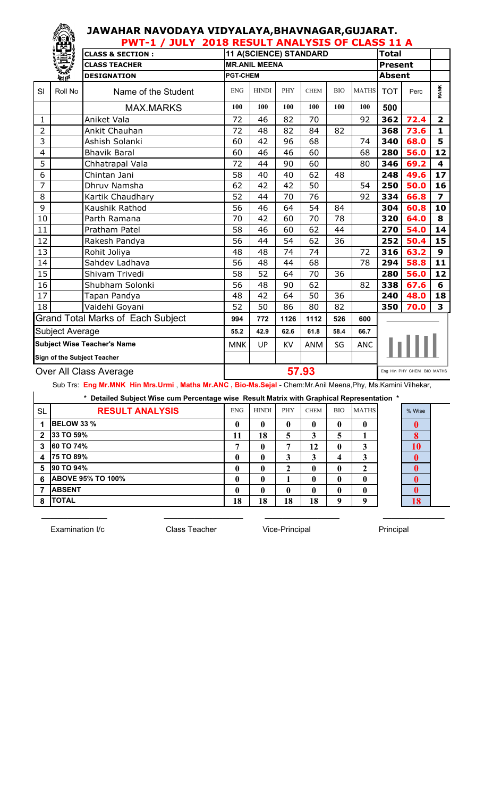#### **JAWAHAR NAVODAYA VIDYALAYA,BHAVNAGAR,GUJARAT. PWT-1 / JULY 2018 RESULT ANALYSIS OF CLASS 11 A**

|              | 鬥                      |                                          | PW I-I / JULT ZUIG RESULT ANALTSIS OF CLASS II A |                      |      |                        |            |              |                |                            |                         |
|--------------|------------------------|------------------------------------------|--------------------------------------------------|----------------------|------|------------------------|------------|--------------|----------------|----------------------------|-------------------------|
|              |                        | <b>CLASS &amp; SECTION:</b>              |                                                  |                      |      | 11 A(SCIENCE) STANDARD |            |              | <b>Total</b>   |                            |                         |
|              | 美俚                     | <b>CLASS TEACHER</b>                     |                                                  | <b>MR.ANIL MEENA</b> |      |                        |            |              | <b>Present</b> |                            |                         |
|              |                        | <b>DESIGNATION</b>                       | <b>PGT-CHEM</b>                                  |                      |      |                        |            |              | <b>Absent</b>  |                            |                         |
| SI           | Roll No                | Name of the Student                      | <b>ENG</b>                                       | <b>HINDI</b>         | PHY  | <b>CHEM</b>            | <b>BIO</b> | <b>MATHS</b> | <b>TOT</b>     | Perc                       | <b>RANK</b>             |
|              |                        | <b>MAX.MARKS</b>                         | 100                                              | 100                  | 100  | 100                    | 100        | 100          | 500            |                            |                         |
| $\mathbf{1}$ |                        | Aniket Vala                              | 72                                               | 46                   | 82   | 70                     |            | 92           | 362            | 72.4                       | $\overline{\mathbf{2}}$ |
| 2            |                        | Ankit Chauhan                            | 72                                               | 48                   | 82   | 84                     | 82         |              | 368            | 73.6                       | $\mathbf{1}$            |
| 3            |                        | Ashish Solanki                           | 60                                               | 42                   | 96   | 68                     |            | 74           | 340            | 68.0                       | 5                       |
| 4            |                        | <b>Bhavik Baral</b>                      | 60                                               | 46                   | 46   | 60                     |            | 68           | 280            | 56.0                       | 12                      |
| 5            |                        | Chhatrapal Vala                          | 72                                               | 44                   | 90   | 60                     |            | 80           | 346            | 69.2                       | 4                       |
| 6            |                        | Chintan Jani                             | 58                                               | 40                   | 40   | 62                     | 48         |              | 248            | 49.6                       | 17                      |
| 7            |                        | Dhruv Namsha                             | 62                                               | 42                   | 42   | 50                     |            | 54           | 250            | 50.0                       | 16                      |
| 8            |                        | Kartik Chaudhary                         | 52                                               | 44                   | 70   | 76                     |            | 92           | 334            | 66.8                       | $\overline{\mathbf{z}}$ |
| 9            |                        | Kaushik Rathod                           | 56                                               | 46                   | 64   | 54                     | 84         |              | 304            | 60.8                       | 10                      |
| 10           |                        | Parth Ramana                             | 70                                               | 42                   | 60   | 70                     | 78         |              | 320            | 64.0                       | 8                       |
| 11           |                        | Pratham Patel                            | 58                                               | 46                   | 60   | 62                     | 44         |              | 270            | 54.0                       | 14                      |
| 12           |                        | Rakesh Pandya                            | 56                                               | 44                   | 54   | 62                     | 36         |              | 252            | 50.4                       | 15                      |
| 13           |                        | Rohit Joliya                             | 48                                               | 48                   | 74   | 74                     |            | 72           | 316            | 63.2                       | $\mathbf{9}$            |
| 14           |                        | Sahdev Ladhava                           | 56                                               | 48                   | 44   | 68                     |            | 78           | 294            | 58.8                       | 11                      |
| 15           |                        | Shivam Trivedi                           | 58                                               | 52                   | 64   | 70                     | 36         |              | 280            | 56.0                       | 12                      |
| 16           |                        | Shubham Solonki                          | 56                                               | 48                   | 90   | 62                     |            | 82           | 338            | 67.6                       | 6                       |
| 17           |                        | Tapan Pandya                             | 48                                               | 42                   | 64   | 50                     | 36         |              | 240            | 48.0                       | 18                      |
| 18           |                        | Vaidehi Goyani                           | 52                                               | 50                   | 86   | 80                     | 82         |              | 350            | 70.0                       | 3                       |
|              |                        | <b>Grand Total Marks of Each Subject</b> | 994                                              | 772                  | 1126 | 1112                   | 526        | 600          |                |                            |                         |
|              | <b>Subject Average</b> |                                          | 55.2                                             | 42.9                 | 62.6 | 61.8                   | 58.4       | 66.7         |                |                            |                         |
|              |                        | <b>Subject Wise Teacher's Name</b>       | <b>MNK</b>                                       | UP                   | KV   | ANM                    | SG         | ANC          |                |                            |                         |
|              |                        | Sign of the Subject Teacher              |                                                  |                      |      |                        |            |              |                |                            |                         |
|              |                        | Over All Class Average                   |                                                  |                      |      | 57.93                  |            |              |                | Eng Hin PHY CHEM BIO MATHS |                         |

Sub Trs: **Eng Mr.MNK Hin Mrs.Urmi** , **Maths Mr.ANC , Bio-Ms.Sejal** - Chem:Mr.Anil Meena,Phy, Ms.Kamini Vilhekar,

|                | <u>oud in the second community and construction and community and the monographical construction and community and</u> |            |              |             |              |            |              |        |
|----------------|------------------------------------------------------------------------------------------------------------------------|------------|--------------|-------------|--------------|------------|--------------|--------|
|                | * Detailed Subject Wise cum Percentage wise Result Matrix with Graphical Representation *                              |            |              |             |              |            |              |        |
| <b>SL</b>      | <b>RESULT ANALYSIS</b>                                                                                                 | <b>ENG</b> | <b>HINDI</b> | <b>PHY</b>  | <b>CHEM</b>  | <b>BIO</b> | <b>MATHS</b> | % Wise |
|                | <b>BELOW 33 %</b>                                                                                                      |            | $\mathbf{0}$ | $\mathbf 0$ | $\mathbf u$  |            | 0            |        |
| $\overline{2}$ | 33 TO 59%                                                                                                              |            | 18           |             |              |            |              |        |
| 3              | <b>60 TO 74%</b>                                                                                                       |            | 0            |             | 12           | 0          |              | 10     |
| Δ              | <b>75 TO 89%</b>                                                                                                       |            | $\mathbf{0}$ |             | 3            |            | 3            |        |
| 5              | <b>90 TO 94%</b>                                                                                                       |            | $\mathbf{0}$ |             | 0            |            |              |        |
| 6              | <b>ABOVE 95% TO 100%</b>                                                                                               |            | 0            |             | $\mathbf{0}$ |            | $\mathbf{0}$ |        |
|                | <b>ABSENT</b>                                                                                                          |            |              |             |              |            |              |        |

**8 18 18 18 18 9 9 18**

\_\_\_\_\_\_\_\_\_\_\_\_\_\_\_ \_\_\_\_\_\_\_\_\_\_\_\_\_\_\_\_\_\_ \_\_\_\_\_\_\_\_\_\_\_\_\_\_\_\_\_ \_\_\_\_\_\_\_\_\_\_\_\_\_\_

Examination I/c Class Teacher Vice-Principal Principal

**TOTAL**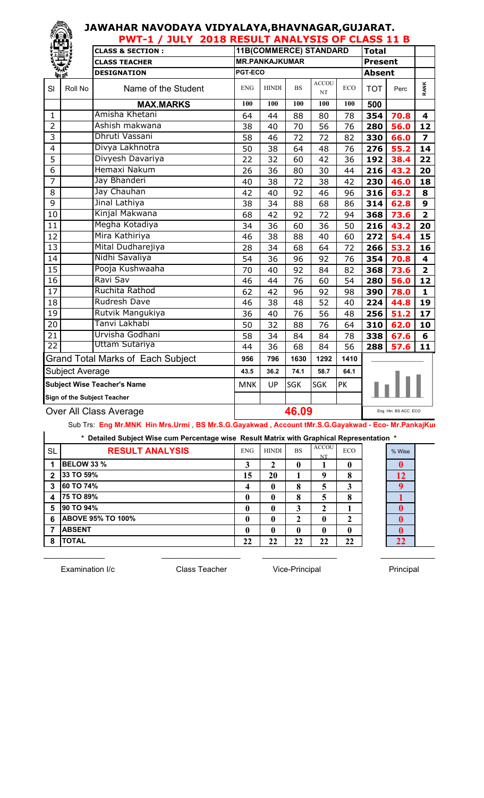#### **JAWAHAR NAVODAYA VIDYALAYA,BHAVNAGAR,GUJARAT. PWT-1 / JULY 2018 RESULT ANALYSIS OF CLASS 11 B**

|                 |                        | L AA I – T<br>JULI<br><b>ZUIO RESULI ANALISIS UF CLASS II D</b><br><b>Total</b><br>11B(COMMERCE) STANDARD |                       |              |           |                    |            |                |                    |                         |
|-----------------|------------------------|-----------------------------------------------------------------------------------------------------------|-----------------------|--------------|-----------|--------------------|------------|----------------|--------------------|-------------------------|
|                 |                        | <b>CLASS &amp; SECTION:</b>                                                                               |                       |              |           |                    |            |                |                    |                         |
|                 |                        | <b>CLASS TEACHER</b>                                                                                      | <b>MR.PANKAJKUMAR</b> |              |           |                    |            | <b>Present</b> |                    |                         |
|                 | <b><i>Contact</i></b>  | <b>DESIGNATION</b>                                                                                        | PGT-ECO               |              |           |                    |            | <b>Absent</b>  |                    |                         |
| SI              | Roll No                | Name of the Student                                                                                       | <b>ENG</b>            | <b>HINDI</b> | <b>BS</b> | <b>ACCOU</b><br>NT | <b>ECO</b> | <b>TOT</b>     | Perc               | <b>RANK</b>             |
|                 |                        | <b>MAX.MARKS</b>                                                                                          | 100                   | 100          | 100       | 100                | 100        | 500            |                    |                         |
| $\mathbf{1}$    |                        | Amisha Khetani                                                                                            | 64                    | 44           | 88        | 80                 | 78         | 354            | 70.8               | $\overline{\mathbf{4}}$ |
| $\overline{2}$  |                        | Ashish makwana                                                                                            | 38                    | 40           | 70        | 56                 | 76         | 280            | 56.0               | 12                      |
| 3               |                        | Dhruti Vassani                                                                                            | 58                    | 46           | 72        | 72                 | 82         | 330            | 66.0               | $\overline{z}$          |
| $\overline{4}$  |                        | Divya Lakhnotra                                                                                           | 50                    | 38           | 64        | 48                 | 76         | 276            | 55.2               | 14                      |
| 5               |                        | Divyesh Davariya                                                                                          | 22                    | 32           | 60        | 42                 | 36         | 192            | 38.4               | 22                      |
| 6               |                        | Hemaxi Nakum                                                                                              | 26                    | 36           | 80        | 30                 | 44         | 216            | 43.2               | 20                      |
| $\overline{7}$  |                        | Jay Bhanderi                                                                                              | 40                    | 38           | 72        | 38                 | 42         | 230            | 46.0               | 18                      |
| 8               |                        | Jay Chauhan                                                                                               | 42                    | 40           | 92        | 46                 | 96         | 316            | 63.2               | 8                       |
| 9               |                        | Jinal Lathiya                                                                                             | 38                    | 34           | 88        | 68                 | 86         | 314            | 62.8               | 9                       |
| 10              |                        | Kinjal Makwana                                                                                            | 68                    | 42           | 92        | 72                 | 94         | 368            | 73.6               | $\overline{\mathbf{2}}$ |
| 11              |                        | Megha Kotadiya                                                                                            | 34                    | 36           | 60        | 36                 | 50         | 216            | 43.2               | 20                      |
| 12              |                        | Mira Kathiriya                                                                                            | 46                    | 38           | 88        | 40                 | 60         | 272            | 54.4               | 15                      |
| 13              |                        | Mital Dudharejiya                                                                                         | 28                    | 34           | 68        | 64                 | 72         | 266            | 53.2               | 16                      |
| 14              |                        | Nidhi Savaliya                                                                                            | 54                    | 36           | 96        | 92                 | 76         | 354            | 70.8               | $\overline{\mathbf{4}}$ |
| 15              |                        | Pooja Kushwaaha                                                                                           | 70                    | 40           | 92        | 84                 | 82         | 368            | 73.6               | $\overline{\mathbf{2}}$ |
| 16              |                        | Ravi Sav                                                                                                  | 46                    | 44           | 76        | 60                 | 54         | 280            | 56.0               | $\overline{12}$         |
| 17              |                        | Ruchita Rathod                                                                                            | 62                    | 42           | 96        | 92                 | 98         | 390            | 78.0               | $\mathbf{1}$            |
| 18              |                        | <b>Rudresh Dave</b>                                                                                       | 46                    | 38           | 48        | 52                 | 40         | 224            | 44.8               | 19                      |
| 19              |                        | Rutvik Mangukiya                                                                                          | 36                    | 40           | 76        | 56                 | 48         | 256            | 51.2               | 17                      |
| 20              |                        | Tanvi Lakhabi                                                                                             | 50                    | 32           | 88        | 76                 | 64         | 310            | 62.0               | 10                      |
| $\overline{21}$ |                        | Urvisha Godhani                                                                                           | 58                    | 34           | 84        | 84                 | 78         | 338            | 67.6               | 6                       |
| $\overline{22}$ |                        | Uttam Sutariya                                                                                            | 44                    | 36           | 68        | 84                 | 56         | 288            | 57.6               | 11                      |
|                 |                        | <b>Grand Total Marks of Each Subject</b>                                                                  | 956                   | 796          | 1630      | 1292               | 1410       |                |                    |                         |
|                 | Subject Average        |                                                                                                           | 43.5                  | 36.2         | 74.1      | 58.7               | 64.1       |                |                    |                         |
|                 |                        | <b>Subject Wise Teacher's Name</b>                                                                        | <b>MNK</b>            | UP           | SGK       | SGK                | PK         |                |                    |                         |
|                 |                        | Sign of the Subject Teacher                                                                               |                       |              |           |                    |            |                |                    |                         |
|                 | Over All Class Average |                                                                                                           |                       |              | 46.09     |                    |            |                | Eng Hin BS ACC ECO |                         |
|                 |                        |                                                                                                           |                       |              |           |                    |            |                |                    |                         |

Sub Trs: Eng Mr.MNK Hin Mrs.Urmi, BS Mr.S.G.Gayakwad, Account tMr.S.G.Gayakwad - Eco- Mr.PankajKur

| * Detailed Subject Wise cum Percentage wise Result Matrix with Graphical Representation * |  |  |  |
|-------------------------------------------------------------------------------------------|--|--|--|
|                                                                                           |  |  |  |

| <b>SL</b>   | <b>RESULT ANALYSIS</b>   | <b>ENG</b> | <b>HINDI</b>   | <b>BS</b> | <b>ACCOU</b><br>NT | <b>ECO</b>   | % Wise    |
|-------------|--------------------------|------------|----------------|-----------|--------------------|--------------|-----------|
| 1           | <b>BELOW 33 %</b>        | 3          | $\mathfrak{D}$ | 0         |                    | $\mathbf{0}$ | 0         |
| $\mathbf 2$ | 33 TO 59%                | 15         | 20             |           | Q                  | 8            | <b>12</b> |
| 3           | <b>60 TO 74%</b>         | 4          |                | 8         | 5                  | 3            | Q         |
| 4           | <b>75 TO 89%</b>         | 0          | 0              | 8         | 5                  | 8            |           |
| 5           | <b>90 TO 94%</b>         | 0          | 0              | 3         | 2                  |              | 0         |
| 6           | <b>ABOVE 95% TO 100%</b> | 0          | 0              | 2         | $\mathbf{0}$       | 2            | 0         |
| 7           | <b>ABSENT</b>            | 0          | 0              | 0         | 0                  | $\mathbf{0}$ | 0         |
| 8           | <b>ITOTAL</b>            | 22         | 22             | 22        | 22                 | 22           | 22        |

Examination I/c **Class Teacher** Vice-Principal Principal Principal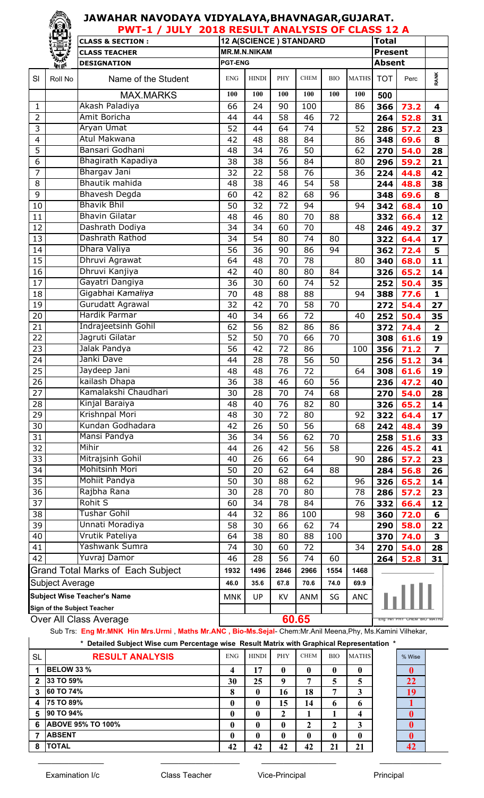|                        | PWT-1 / JULY 2018 RESULT ANALYSIS OF CLASS 12 A |                                          |                 |                        |      |                 |                 |                 |                            |                        |                         |
|------------------------|-------------------------------------------------|------------------------------------------|-----------------|------------------------|------|-----------------|-----------------|-----------------|----------------------------|------------------------|-------------------------|
|                        |                                                 | <b>CLASS &amp; SECTION:</b>              |                 | 12 A(SCIENCE) STANDARD |      | <b>Total</b>    |                 |                 |                            |                        |                         |
|                        |                                                 | <b>CLASS TEACHER</b>                     |                 | <b>MR.M.N.NIKAM</b>    |      |                 |                 |                 | <b>Present</b>             |                        |                         |
|                        | 新聞                                              | <b>DESIGNATION</b>                       | <b>PGT-ENG</b>  |                        |      |                 |                 |                 | <b>Absent</b>              |                        |                         |
| SI                     | Roll No                                         | Name of the Student                      | <b>ENG</b>      | <b>HINDI</b>           | PHY  | <b>CHEM</b>     | <b>BIO</b>      | <b>MATHS</b>    | <b>TOT</b>                 | Perc                   | <b>RANK</b>             |
|                        |                                                 | <b>MAX.MARKS</b>                         | 100             | 100                    | 100  | 100             | 100             | 100             | 500                        |                        |                         |
| 1                      |                                                 | Akash Paladiya                           | 66              | 24                     | 90   | 100             |                 | 86              | 366                        | 73.2                   | $\overline{\mathbf{4}}$ |
| 2                      |                                                 | Amit Boricha                             | 44              | 44                     | 58   | 46              | 72              |                 | 264                        | 52.8                   | 31                      |
| 3                      |                                                 | Aryan Umat                               | 52              | 44                     | 64   | 74              |                 | 52              | 286                        | 57.2                   | 23                      |
| 4                      |                                                 | Atul Makwana                             | 42              | 48                     | 88   | 84              |                 | 86              | 348                        | 69.6                   | 8                       |
| 5                      |                                                 | Bansari Godhani                          | 48              | 34                     | 76   | 50              |                 | 62              | 270                        | 54.0                   | 28                      |
| 6                      |                                                 | Bhagirath Kapadiya                       | 38              | 38                     | 56   | 84              |                 | 80              | 296                        | 59.2                   | 21                      |
| $\overline{7}$         |                                                 | Bhargav Jani                             | 32              | 22                     | 58   | $\overline{76}$ |                 | $\overline{36}$ | 224                        | 44.8                   | 42                      |
| 8                      |                                                 | Bhautik mahida                           | 48              | 38                     | 46   | 54              | 58              |                 | 244                        | 48.8                   | 38                      |
| 9                      |                                                 | <b>Bhavesh Degda</b>                     | 60              | 42                     | 82   | 68              | 96              |                 | 348                        | 69.6                   | 8                       |
| 10                     |                                                 | <b>Bhavik Bhil</b>                       | 50              | 32                     | 72   | 94              |                 | 94              | 342                        | 68.4                   | 10                      |
| 11                     |                                                 | <b>Bhavin Gilatar</b>                    | 48              | 46                     | 80   | $\overline{7}0$ | 88              |                 | 332                        | 66.4                   | 12                      |
| 12                     |                                                 | Dashrath Dodiya                          | 34              | 34                     | 60   | 70              |                 | 48              | 246                        | 49.2                   | 37                      |
| 13                     |                                                 | Dashrath Rathod                          | 34              | 54                     | 80   | 74              | 80              |                 | 322                        | 64.4                   | 17                      |
| 14                     |                                                 | Dhara Valiya                             | 56              | 36                     | 90   | 86              | 94              |                 | 362                        | 72.4                   | 5                       |
| $\overline{15}$        |                                                 | Dhruvi Agrawat                           | 64              | 48                     | 70   | 78              |                 | 80              | 340                        | 68.0                   | 11                      |
| 16                     |                                                 | Dhruvi Kanjiya                           | 42              | 40                     | 80   | 80              | 84              |                 | 326                        | 65.2                   | 14                      |
| 17                     |                                                 | Gayatri Dangiya                          | 36              | 30                     | 60   | 74              | 52              |                 | 252                        | 50.4                   | 35                      |
| 18                     |                                                 | Gigabhai Kamaliya                        | 70              | 48                     | 88   | 88              |                 | 94              | 388                        | 77.6                   | $\mathbf{1}$            |
| 19                     |                                                 | Gurudatt Agrawal                         | 32              | 42                     | 70   | 58              | 70              |                 | 272                        | 54.4                   | 27                      |
| 20                     |                                                 | Hardik Parmar                            | 40              | 34                     | 66   | 72              |                 | 40              | 252                        | 50.4                   | 35                      |
| $\overline{21}$        |                                                 | Indrajeetsinh Gohil                      | 62              | 56                     | 82   | 86              | 86              |                 | 372                        | 74.4                   | $\overline{\mathbf{2}}$ |
| 22                     |                                                 | Jagruti Gilatar                          | 52              | 50                     | 70   | 66              | 70              |                 | 308                        | 61.6                   | 19                      |
| 23                     |                                                 | Jalak Pandya                             | 56              | 42                     | 72   | 86              |                 | 100             | 356                        | 71.2                   | $\overline{\mathbf{z}}$ |
| $\overline{24}$        |                                                 | Janki Dave                               | 44              | 28                     | 78   | 56              | 50              |                 | 256                        | 51.2                   | 34                      |
| 25                     |                                                 | Jaydeep Jani                             | 48              | 48                     | 76   | 72              |                 | 64              | 308                        | 61.6                   | 19                      |
| 26                     |                                                 | kailash Dhapa                            | $\overline{36}$ | $\overline{38}$        | 46   | 60              | $\overline{56}$ |                 |                            | $236 \overline{)47.2}$ | 40                      |
| 27                     |                                                 | Kamalakshi Chaudhari                     | 30              | 28                     | 70   | 74              | 68              |                 | 270                        | 54.0                   | 28                      |
| 28                     |                                                 | Kinjal Baraiya                           | 48              | 40                     | 76   | 82              | 80              |                 | 326                        | 65.2                   | 14                      |
| 29                     |                                                 | Krishnpal Mori                           | 48              | 30                     | 72   | 80              |                 | 92              | 322                        | 64.4                   | 17                      |
| 30                     |                                                 | Kundan Godhadara                         | 42              | 26                     | 50   | 56              |                 | 68              | 242                        | 48.4                   | 39                      |
| 31                     |                                                 | Mansi Pandya                             | 36              | 34                     | 56   | 62              | 70              |                 | 258                        | 51.6                   | 33                      |
| 32                     |                                                 | Mihir                                    | 44              | 26                     | 42   | 56              | 58              |                 | 226                        | 45.2                   | 41                      |
| 33                     |                                                 | Mitrajsinh Gohil                         | 40              | 26                     | 66   | 64              |                 | 90              | 286                        | 57.2                   | 23                      |
| 34                     |                                                 | Mohitsinh Mori                           | 50              | 20                     | 62   | 64              | 88              |                 | 284                        | 56.8                   | 26                      |
| 35                     |                                                 | Mohiit Pandya                            | 50              | 30                     | 88   | 62              |                 | 96              | 326                        | 65.2                   | 14                      |
| 36                     |                                                 | Rajbha Rana                              | 30              | 28                     | 70   | 80              |                 | 78              | 286                        | 57.2                   | 23                      |
| 37                     |                                                 | <b>Rohit S</b>                           | 60              | 34                     | 78   | 84              |                 | 76              | 332                        | 66.4                   | 12                      |
| 38                     |                                                 | <b>Tushar Gohil</b>                      | 44              | 32                     | 86   | 100             |                 | 98              | 360                        | 72.0                   | 6                       |
| 39                     |                                                 | Unnati Moradiya                          | 58              | 30                     | 66   | 62              | 74              |                 | 290                        | 58.0                   | 22                      |
| 40                     |                                                 | Vrutik Pateliya                          | 64              | 38                     | 80   | 88              | 100             |                 | 370                        | 74.0                   | 3                       |
| 41                     |                                                 | Yashwank Sumra                           | 74              | 30                     | 60   | 72              |                 | 34              | 270                        | 54.0                   | 28                      |
| 42                     |                                                 | Yuvraj Damor                             | 46              | 28                     | 56   | 74              | 60              |                 | 264                        | 52.8                   | 31                      |
|                        |                                                 | <b>Grand Total Marks of Each Subject</b> | 1932            | 1496                   | 2846 | 2966            | 1554            | 1468            |                            |                        |                         |
|                        | Subject Average                                 |                                          | 46.0            | 35.6                   | 67.8 | 70.6            | 74.0            | 69.9            |                            |                        |                         |
|                        |                                                 | <b>Subject Wise Teacher's Name</b>       | <b>MNK</b>      | UP                     | KV   | ANM             | SG              | <b>ANC</b>      |                            |                        |                         |
|                        |                                                 | Sign of the Subject Teacher              |                 |                        |      |                 |                 |                 |                            |                        |                         |
| Over All Class Average |                                                 | 60.65                                    |                 |                        |      |                 |                 |                 | Eng Hin PHY CHEM BIO MATHS |                        |                         |

Sub Trs: **Eng Mr.MNK Hin Mrs.Urmi** , **Maths Mr.ANC , Bio-Ms.Sejal**- Chem:Mr.Anil Meena,Phy, Ms.Kamini Vilhekar,

\_\_\_\_\_\_\_\_\_\_\_\_\_\_\_ \_\_\_\_\_\_\_\_\_\_\_\_\_\_\_\_\_\_ \_\_\_\_\_\_\_\_\_\_\_\_\_\_\_\_\_ \_\_\_\_\_\_\_\_\_\_\_\_\_\_

**\* Detailed Subject Wise cum Percentage wise Result Matrix with Graphical Representation \***

| <b>SL</b> | <b>RESULT ANALYSIS</b>   | <b>ENG</b>              | <b>HINDI</b> | <b>PHY</b>   | <b>CHEM</b>  | <b>BIO</b> | <b>MATHS</b> | % Wise |
|-----------|--------------------------|-------------------------|--------------|--------------|--------------|------------|--------------|--------|
|           | <b>BELOW 33 %</b>        | $\overline{\mathbf{4}}$ | 17           | $\mathbf{0}$ | 0            | 0          | $\mathbf 0$  |        |
| 2         | 33 TO 59%                | 30                      | 25           | -9           | 7            | 5          | 5            | 22     |
| 3         | 60 TO 74%                | 8                       | $\mathbf{0}$ | 16           | 18           | 7          | 3            | 19     |
|           | 75 TO 89%                |                         | $\mathbf{0}$ | 15           | 14           | 6          | 6            |        |
| 5         | 90 TO 94%                |                         | $\mathbf{0}$ | າ            |              |            | 4            |        |
| 6         | <b>ABOVE 95% TO 100%</b> |                         | $\mathbf{0}$ | 0            | 2            | 2          | 3            |        |
|           | <b>ABSENT</b>            |                         | $\mathbf{0}$ | 0            | $\mathbf{0}$ |            | $\mathbf{0}$ |        |
| -8        | <b>TOTAL</b>             | 42                      | 42           | 42           | 42           | 21         | 21           | 42     |

 $\mathsf{I}$